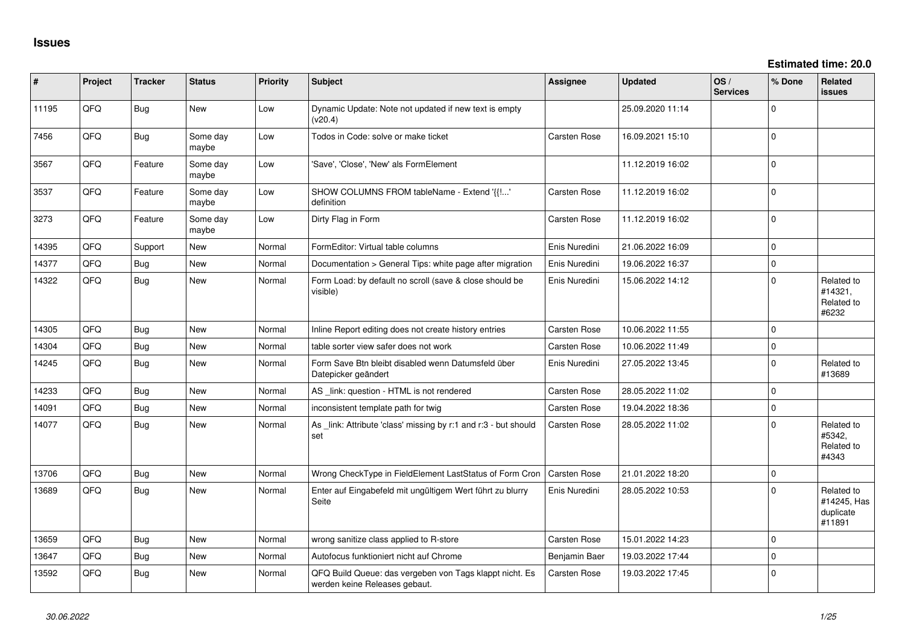| #     | Project | <b>Tracker</b> | <b>Status</b>     | <b>Priority</b> | <b>Subject</b>                                                                           | Assignee            | <b>Updated</b>   | OS/<br><b>Services</b> | % Done      | Related<br>issues                                |
|-------|---------|----------------|-------------------|-----------------|------------------------------------------------------------------------------------------|---------------------|------------------|------------------------|-------------|--------------------------------------------------|
| 11195 | QFQ     | Bug            | New               | Low             | Dynamic Update: Note not updated if new text is empty<br>(v20.4)                         |                     | 25.09.2020 11:14 |                        | $\Omega$    |                                                  |
| 7456  | QFQ     | Bug            | Some day<br>maybe | Low             | Todos in Code: solve or make ticket                                                      | <b>Carsten Rose</b> | 16.09.2021 15:10 |                        | $\Omega$    |                                                  |
| 3567  | QFQ     | Feature        | Some day<br>maybe | Low             | 'Save', 'Close', 'New' als FormElement                                                   |                     | 11.12.2019 16:02 |                        | $\Omega$    |                                                  |
| 3537  | QFQ     | Feature        | Some day<br>maybe | Low             | SHOW COLUMNS FROM tableName - Extend '{{!'<br>definition                                 | Carsten Rose        | 11.12.2019 16:02 |                        | $\Omega$    |                                                  |
| 3273  | QFQ     | Feature        | Some day<br>maybe | Low             | Dirty Flag in Form                                                                       | <b>Carsten Rose</b> | 11.12.2019 16:02 |                        | $\Omega$    |                                                  |
| 14395 | QFQ     | Support        | New               | Normal          | FormEditor: Virtual table columns                                                        | Enis Nuredini       | 21.06.2022 16:09 |                        | 0           |                                                  |
| 14377 | QFQ     | Bug            | New               | Normal          | Documentation > General Tips: white page after migration                                 | Enis Nuredini       | 19.06.2022 16:37 |                        | 0           |                                                  |
| 14322 | QFQ     | Bug            | New               | Normal          | Form Load: by default no scroll (save & close should be<br>visible)                      | Enis Nuredini       | 15.06.2022 14:12 |                        | $\mathbf 0$ | Related to<br>#14321,<br>Related to<br>#6232     |
| 14305 | QFQ     | Bug            | New               | Normal          | Inline Report editing does not create history entries                                    | <b>Carsten Rose</b> | 10.06.2022 11:55 |                        | $\Omega$    |                                                  |
| 14304 | QFQ     | Bug            | New               | Normal          | table sorter view safer does not work                                                    | <b>Carsten Rose</b> | 10.06.2022 11:49 |                        | $\mathbf 0$ |                                                  |
| 14245 | QFQ     | Bug            | New               | Normal          | Form Save Btn bleibt disabled wenn Datumsfeld über<br>Datepicker geändert                | Enis Nuredini       | 27.05.2022 13:45 |                        | $\Omega$    | Related to<br>#13689                             |
| 14233 | QFQ     | Bug            | New               | Normal          | AS _link: question - HTML is not rendered                                                | <b>Carsten Rose</b> | 28.05.2022 11:02 |                        | $\mathbf 0$ |                                                  |
| 14091 | QFQ     | Bug            | New               | Normal          | inconsistent template path for twig                                                      | <b>Carsten Rose</b> | 19.04.2022 18:36 |                        | $\mathbf 0$ |                                                  |
| 14077 | QFQ     | Bug            | New               | Normal          | As _link: Attribute 'class' missing by r:1 and r:3 - but should<br>set                   | <b>Carsten Rose</b> | 28.05.2022 11:02 |                        | $\Omega$    | Related to<br>#5342,<br>Related to<br>#4343      |
| 13706 | QFQ     | Bug            | New               | Normal          | Wrong CheckType in FieldElement LastStatus of Form Cron                                  | <b>Carsten Rose</b> | 21.01.2022 18:20 |                        | $\mathbf 0$ |                                                  |
| 13689 | QFQ     | Bug            | New               | Normal          | Enter auf Eingabefeld mit ungültigem Wert führt zu blurry<br>Seite                       | Enis Nuredini       | 28.05.2022 10:53 |                        | $\Omega$    | Related to<br>#14245, Has<br>duplicate<br>#11891 |
| 13659 | QFQ     | Bug            | New               | Normal          | wrong sanitize class applied to R-store                                                  | <b>Carsten Rose</b> | 15.01.2022 14:23 |                        | $\Omega$    |                                                  |
| 13647 | QFQ     | Bug            | New               | Normal          | Autofocus funktioniert nicht auf Chrome                                                  | Benjamin Baer       | 19.03.2022 17:44 |                        | $\mathbf 0$ |                                                  |
| 13592 | QFQ     | Bug            | New               | Normal          | QFQ Build Queue: das vergeben von Tags klappt nicht. Es<br>werden keine Releases gebaut. | <b>Carsten Rose</b> | 19.03.2022 17:45 |                        | $\mathbf 0$ |                                                  |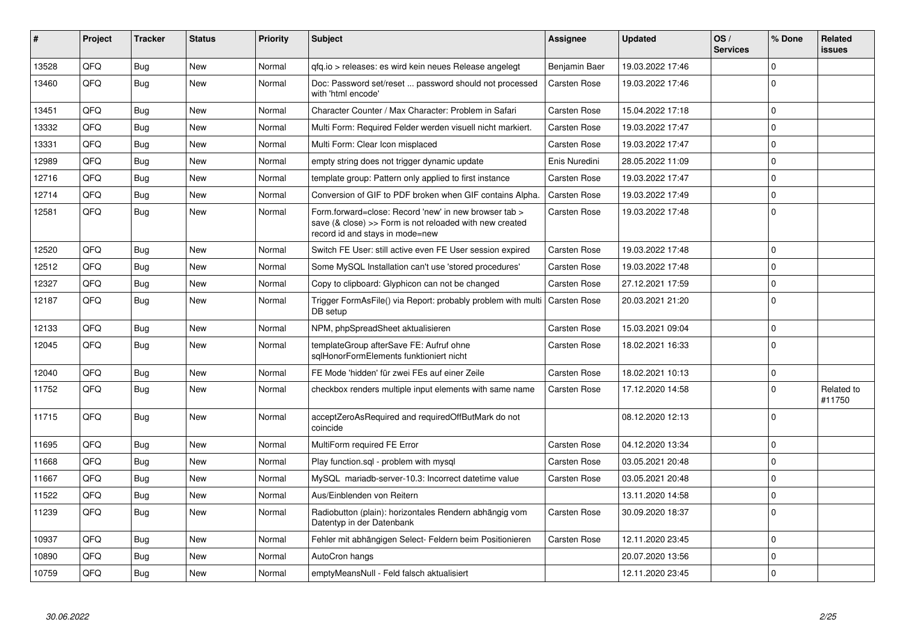| #     | Project | <b>Tracker</b> | <b>Status</b> | <b>Priority</b> | <b>Subject</b>                                                                                                                                      | Assignee            | <b>Updated</b>   | OS/<br><b>Services</b> | % Done              | <b>Related</b><br><b>issues</b> |
|-------|---------|----------------|---------------|-----------------|-----------------------------------------------------------------------------------------------------------------------------------------------------|---------------------|------------------|------------------------|---------------------|---------------------------------|
| 13528 | QFQ     | Bug            | New           | Normal          | qfq.io > releases: es wird kein neues Release angelegt                                                                                              | Benjamin Baer       | 19.03.2022 17:46 |                        | 0                   |                                 |
| 13460 | QFQ     | Bug            | New           | Normal          | Doc: Password set/reset  password should not processed<br>with 'html encode'                                                                        | Carsten Rose        | 19.03.2022 17:46 |                        | $\Omega$            |                                 |
| 13451 | QFQ     | Bug            | New           | Normal          | Character Counter / Max Character: Problem in Safari                                                                                                | <b>Carsten Rose</b> | 15.04.2022 17:18 |                        | $\mathbf 0$         |                                 |
| 13332 | QFQ     | Bug            | New           | Normal          | Multi Form: Required Felder werden visuell nicht markiert.                                                                                          | Carsten Rose        | 19.03.2022 17:47 |                        | $\mathbf 0$         |                                 |
| 13331 | QFQ     | Bug            | New           | Normal          | Multi Form: Clear Icon misplaced                                                                                                                    | Carsten Rose        | 19.03.2022 17:47 |                        | $\Omega$            |                                 |
| 12989 | QFQ     | Bug            | New           | Normal          | empty string does not trigger dynamic update                                                                                                        | Enis Nuredini       | 28.05.2022 11:09 |                        | $\mathbf 0$         |                                 |
| 12716 | QFQ     | Bug            | New           | Normal          | template group: Pattern only applied to first instance                                                                                              | Carsten Rose        | 19.03.2022 17:47 |                        | $\Omega$            |                                 |
| 12714 | QFQ     | Bug            | New           | Normal          | Conversion of GIF to PDF broken when GIF contains Alpha.                                                                                            | <b>Carsten Rose</b> | 19.03.2022 17:49 |                        | $\mathbf 0$         |                                 |
| 12581 | QFQ     | Bug            | New           | Normal          | Form.forward=close: Record 'new' in new browser tab ><br>save (& close) >> Form is not reloaded with new created<br>record id and stays in mode=new | Carsten Rose        | 19.03.2022 17:48 |                        | $\Omega$            |                                 |
| 12520 | QFQ     | <b>Bug</b>     | New           | Normal          | Switch FE User: still active even FE User session expired                                                                                           | <b>Carsten Rose</b> | 19.03.2022 17:48 |                        | $\Omega$            |                                 |
| 12512 | QFQ     | Bug            | New           | Normal          | Some MySQL Installation can't use 'stored procedures'                                                                                               | Carsten Rose        | 19.03.2022 17:48 |                        | $\mathbf 0$         |                                 |
| 12327 | QFQ     | Bug            | <b>New</b>    | Normal          | Copy to clipboard: Glyphicon can not be changed                                                                                                     | Carsten Rose        | 27.12.2021 17:59 |                        | $\mathbf 0$         |                                 |
| 12187 | QFQ     | Bug            | New           | Normal          | Trigger FormAsFile() via Report: probably problem with multi<br>DB setup                                                                            | <b>Carsten Rose</b> | 20.03.2021 21:20 |                        | $\mathbf 0$         |                                 |
| 12133 | QFQ     | Bug            | New           | Normal          | NPM, phpSpreadSheet aktualisieren                                                                                                                   | Carsten Rose        | 15.03.2021 09:04 |                        | $\mathbf 0$         |                                 |
| 12045 | QFQ     | Bug            | <b>New</b>    | Normal          | templateGroup afterSave FE: Aufruf ohne<br>sqlHonorFormElements funktioniert nicht                                                                  | Carsten Rose        | 18.02.2021 16:33 |                        | $\mathbf 0$         |                                 |
| 12040 | QFQ     | Bug            | New           | Normal          | FE Mode 'hidden' für zwei FEs auf einer Zeile                                                                                                       | Carsten Rose        | 18.02.2021 10:13 |                        | $\mathbf 0$         |                                 |
| 11752 | QFQ     | Bug            | New           | Normal          | checkbox renders multiple input elements with same name                                                                                             | Carsten Rose        | 17.12.2020 14:58 |                        | $\Omega$            | Related to<br>#11750            |
| 11715 | QFQ     | Bug            | New           | Normal          | acceptZeroAsRequired and requiredOffButMark do not<br>coincide                                                                                      |                     | 08.12.2020 12:13 |                        | $\mathbf 0$         |                                 |
| 11695 | QFQ     | Bug            | <b>New</b>    | Normal          | MultiForm required FE Error                                                                                                                         | Carsten Rose        | 04.12.2020 13:34 |                        | $\mathbf 0$         |                                 |
| 11668 | QFQ     | Bug            | <b>New</b>    | Normal          | Play function.sql - problem with mysql                                                                                                              | Carsten Rose        | 03.05.2021 20:48 |                        | $\mathbf 0$         |                                 |
| 11667 | QFQ     | Bug            | New           | Normal          | MySQL mariadb-server-10.3: Incorrect datetime value                                                                                                 | Carsten Rose        | 03.05.2021 20:48 |                        | $\mathbf 0$         |                                 |
| 11522 | QFQ     | Bug            | New           | Normal          | Aus/Einblenden von Reitern                                                                                                                          |                     | 13.11.2020 14:58 |                        | $\mathbf 0$         |                                 |
| 11239 | QFQ     | Bug            | New           | Normal          | Radiobutton (plain): horizontales Rendern abhängig vom<br>Datentyp in der Datenbank                                                                 | Carsten Rose        | 30.09.2020 18:37 |                        | $\Omega$            |                                 |
| 10937 | QFQ     | Bug            | <b>New</b>    | Normal          | Fehler mit abhängigen Select- Feldern beim Positionieren                                                                                            | <b>Carsten Rose</b> | 12.11.2020 23:45 |                        | $\mathbf 0$         |                                 |
| 10890 | QFQ     | Bug            | New           | Normal          | AutoCron hangs                                                                                                                                      |                     | 20.07.2020 13:56 |                        | $\mathsf{O}\xspace$ |                                 |
| 10759 | QFQ     | <b>Bug</b>     | New           | Normal          | emptyMeansNull - Feld falsch aktualisiert                                                                                                           |                     | 12.11.2020 23:45 |                        | $\mathbf 0$         |                                 |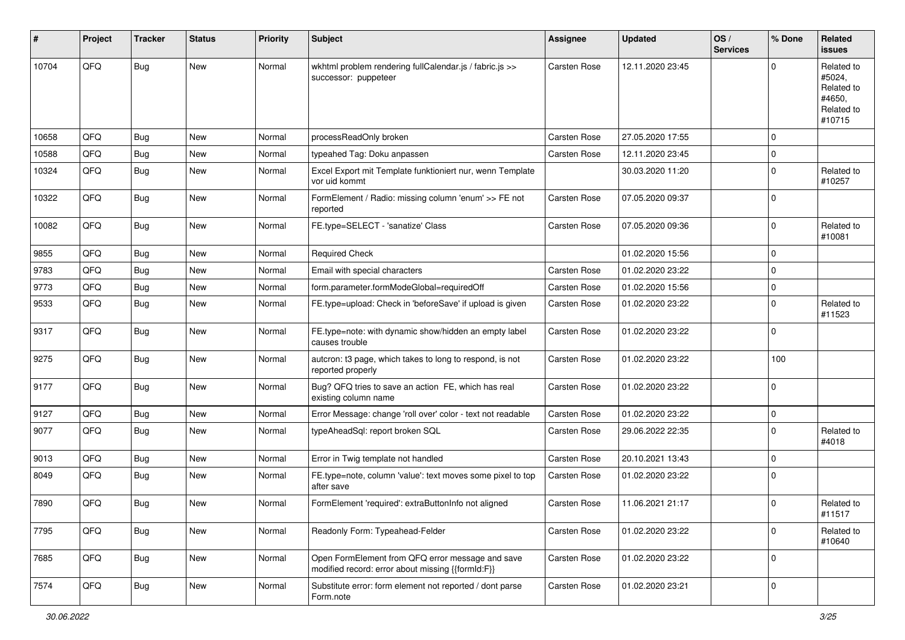| #     | Project | <b>Tracker</b> | <b>Status</b> | <b>Priority</b> | Subject                                                                                               | Assignee     | <b>Updated</b>   | OS/<br><b>Services</b> | % Done      | Related<br>issues                                                    |
|-------|---------|----------------|---------------|-----------------|-------------------------------------------------------------------------------------------------------|--------------|------------------|------------------------|-------------|----------------------------------------------------------------------|
| 10704 | QFQ     | <b>Bug</b>     | New           | Normal          | wkhtml problem rendering fullCalendar.js / fabric.js >><br>successor: puppeteer                       | Carsten Rose | 12.11.2020 23:45 |                        | $\Omega$    | Related to<br>#5024,<br>Related to<br>#4650.<br>Related to<br>#10715 |
| 10658 | QFQ     | Bug            | New           | Normal          | processReadOnly broken                                                                                | Carsten Rose | 27.05.2020 17:55 |                        | $\mathbf 0$ |                                                                      |
| 10588 | QFQ     | Bug            | New           | Normal          | typeahed Tag: Doku anpassen                                                                           | Carsten Rose | 12.11.2020 23:45 |                        | $\mathbf 0$ |                                                                      |
| 10324 | QFQ     | Bug            | New           | Normal          | Excel Export mit Template funktioniert nur, wenn Template<br>vor uid kommt                            |              | 30.03.2020 11:20 |                        | $\mathbf 0$ | Related to<br>#10257                                                 |
| 10322 | QFQ     | Bug            | New           | Normal          | FormElement / Radio: missing column 'enum' >> FE not<br>reported                                      | Carsten Rose | 07.05.2020 09:37 |                        | $\Omega$    |                                                                      |
| 10082 | QFQ     | Bug            | New           | Normal          | FE.type=SELECT - 'sanatize' Class                                                                     | Carsten Rose | 07.05.2020 09:36 |                        | $\mathbf 0$ | Related to<br>#10081                                                 |
| 9855  | QFQ     | <b>Bug</b>     | New           | Normal          | <b>Required Check</b>                                                                                 |              | 01.02.2020 15:56 |                        | $\Omega$    |                                                                      |
| 9783  | QFQ     | Bug            | New           | Normal          | Email with special characters                                                                         | Carsten Rose | 01.02.2020 23:22 |                        | $\mathbf 0$ |                                                                      |
| 9773  | QFQ     | <b>Bug</b>     | New           | Normal          | form.parameter.formModeGlobal=requiredOff                                                             | Carsten Rose | 01.02.2020 15:56 |                        | $\mathbf 0$ |                                                                      |
| 9533  | QFQ     | <b>Bug</b>     | New           | Normal          | FE.type=upload: Check in 'beforeSave' if upload is given                                              | Carsten Rose | 01.02.2020 23:22 |                        | $\Omega$    | Related to<br>#11523                                                 |
| 9317  | QFQ     | Bug            | New           | Normal          | FE.type=note: with dynamic show/hidden an empty label<br>causes trouble                               | Carsten Rose | 01.02.2020 23:22 |                        | $\Omega$    |                                                                      |
| 9275  | QFQ     | <b>Bug</b>     | New           | Normal          | autcron: t3 page, which takes to long to respond, is not<br>reported properly                         | Carsten Rose | 01.02.2020 23:22 |                        | 100         |                                                                      |
| 9177  | QFQ     | <b>Bug</b>     | New           | Normal          | Bug? QFQ tries to save an action FE, which has real<br>existing column name                           | Carsten Rose | 01.02.2020 23:22 |                        | $\mathbf 0$ |                                                                      |
| 9127  | QFQ     | <b>Bug</b>     | New           | Normal          | Error Message: change 'roll over' color - text not readable                                           | Carsten Rose | 01.02.2020 23:22 |                        | 0           |                                                                      |
| 9077  | QFQ     | <b>Bug</b>     | New           | Normal          | typeAheadSql: report broken SQL                                                                       | Carsten Rose | 29.06.2022 22:35 |                        | $\Omega$    | Related to<br>#4018                                                  |
| 9013  | QFQ     | Bug            | New           | Normal          | Error in Twig template not handled                                                                    | Carsten Rose | 20.10.2021 13:43 |                        | $\mathbf 0$ |                                                                      |
| 8049  | QFQ     | Bug            | New           | Normal          | FE.type=note, column 'value': text moves some pixel to top<br>after save                              | Carsten Rose | 01.02.2020 23:22 |                        | $\Omega$    |                                                                      |
| 7890  | QFQ     | Bug            | New           | Normal          | FormElement 'required': extraButtonInfo not aligned                                                   | Carsten Rose | 11.06.2021 21:17 |                        | $\Omega$    | Related to<br>#11517                                                 |
| 7795  | QFQ     | Bug            | New           | Normal          | Readonly Form: Typeahead-Felder                                                                       | Carsten Rose | 01.02.2020 23:22 |                        | 0           | Related to<br>#10640                                                 |
| 7685  | QFQ     | <b>Bug</b>     | New           | Normal          | Open FormElement from QFQ error message and save<br>modified record: error about missing {{formId:F}} | Carsten Rose | 01.02.2020 23:22 |                        | 0           |                                                                      |
| 7574  | QFQ     | <b>Bug</b>     | New           | Normal          | Substitute error: form element not reported / dont parse<br>Form.note                                 | Carsten Rose | 01.02.2020 23:21 |                        | 0           |                                                                      |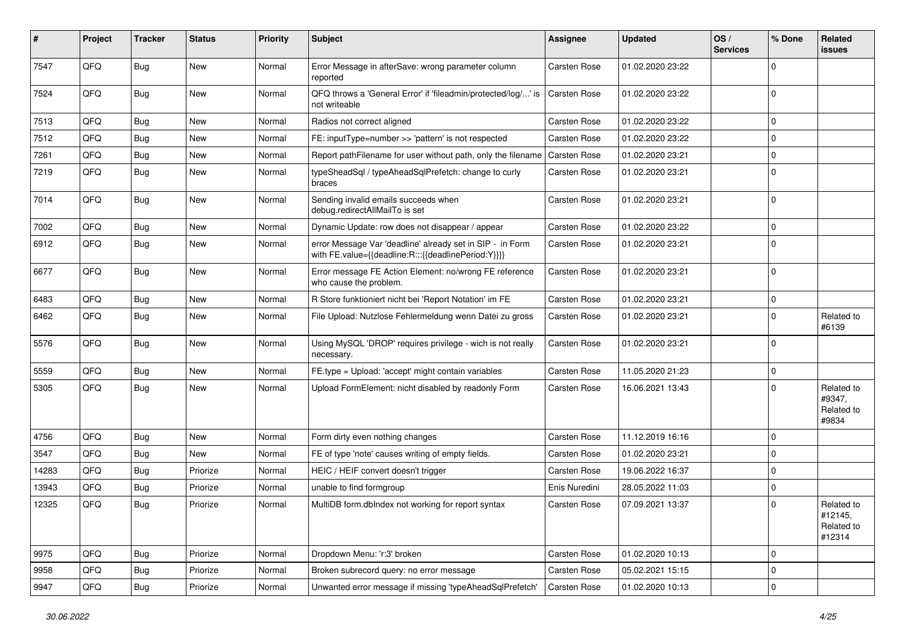| #     | Project | <b>Tracker</b> | <b>Status</b> | <b>Priority</b> | <b>Subject</b>                                                                                                   | Assignee            | <b>Updated</b>   | OS/<br><b>Services</b> | % Done      | Related<br>issues                             |
|-------|---------|----------------|---------------|-----------------|------------------------------------------------------------------------------------------------------------------|---------------------|------------------|------------------------|-------------|-----------------------------------------------|
| 7547  | QFQ     | Bug            | New           | Normal          | Error Message in afterSave: wrong parameter column<br>reported                                                   | <b>Carsten Rose</b> | 01.02.2020 23:22 |                        | $\Omega$    |                                               |
| 7524  | QFQ     | Bug            | New           | Normal          | QFQ throws a 'General Error' if 'fileadmin/protected/log/' is<br>not writeable                                   | <b>Carsten Rose</b> | 01.02.2020 23:22 |                        | $\Omega$    |                                               |
| 7513  | QFQ     | Bug            | New           | Normal          | Radios not correct aligned                                                                                       | <b>Carsten Rose</b> | 01.02.2020 23:22 |                        | $\mathbf 0$ |                                               |
| 7512  | QFQ     | Bug            | New           | Normal          | FE: inputType=number >> 'pattern' is not respected                                                               | Carsten Rose        | 01.02.2020 23:22 |                        | $\Omega$    |                                               |
| 7261  | QFQ     | Bug            | New           | Normal          | Report pathFilename for user without path, only the filename                                                     | <b>Carsten Rose</b> | 01.02.2020 23:21 |                        | $\Omega$    |                                               |
| 7219  | QFQ     | Bug            | New           | Normal          | typeSheadSql / typeAheadSqlPrefetch: change to curly<br>braces                                                   | <b>Carsten Rose</b> | 01.02.2020 23:21 |                        | l 0         |                                               |
| 7014  | QFQ     | Bug            | New           | Normal          | Sending invalid emails succeeds when<br>debug.redirectAllMailTo is set                                           | <b>Carsten Rose</b> | 01.02.2020 23:21 |                        | l 0         |                                               |
| 7002  | QFQ     | Bug            | New           | Normal          | Dynamic Update: row does not disappear / appear                                                                  | <b>Carsten Rose</b> | 01.02.2020 23:22 |                        | $\mathbf 0$ |                                               |
| 6912  | QFQ     | Bug            | New           | Normal          | error Message Var 'deadline' already set in SIP - in Form<br>with FE.value={{deadline:R:::{{deadlinePeriod:Y}}}} | Carsten Rose        | 01.02.2020 23:21 |                        | $\Omega$    |                                               |
| 6677  | QFQ     | Bug            | New           | Normal          | Error message FE Action Element: no/wrong FE reference<br>who cause the problem.                                 | <b>Carsten Rose</b> | 01.02.2020 23:21 |                        | ١o          |                                               |
| 6483  | QFQ     | Bug            | New           | Normal          | R Store funktioniert nicht bei 'Report Notation' im FE                                                           | Carsten Rose        | 01.02.2020 23:21 |                        | l 0         |                                               |
| 6462  | QFQ     | Bug            | New           | Normal          | File Upload: Nutzlose Fehlermeldung wenn Datei zu gross                                                          | <b>Carsten Rose</b> | 01.02.2020 23:21 |                        | $\Omega$    | Related to<br>#6139                           |
| 5576  | QFQ     | Bug            | New           | Normal          | Using MySQL 'DROP' requires privilege - wich is not really<br>necessary.                                         | <b>Carsten Rose</b> | 01.02.2020 23:21 |                        | ١o          |                                               |
| 5559  | QFQ     | Bug            | New           | Normal          | FE.type = Upload: 'accept' might contain variables                                                               | <b>Carsten Rose</b> | 11.05.2020 21:23 |                        | $\Omega$    |                                               |
| 5305  | QFQ     | Bug            | New           | Normal          | Upload FormElement: nicht disabled by readonly Form                                                              | <b>Carsten Rose</b> | 16.06.2021 13:43 |                        | $\Omega$    | Related to<br>#9347,<br>Related to<br>#9834   |
| 4756  | QFQ     | Bug            | New           | Normal          | Form dirty even nothing changes                                                                                  | <b>Carsten Rose</b> | 11.12.2019 16:16 |                        | $\Omega$    |                                               |
| 3547  | QFQ     | Bug            | New           | Normal          | FE of type 'note' causes writing of empty fields.                                                                | <b>Carsten Rose</b> | 01.02.2020 23:21 |                        | $\mathbf 0$ |                                               |
| 14283 | QFQ     | Bug            | Priorize      | Normal          | HEIC / HEIF convert doesn't trigger                                                                              | <b>Carsten Rose</b> | 19.06.2022 16:37 |                        | $\mathbf 0$ |                                               |
| 13943 | QFQ     | Bug            | Priorize      | Normal          | unable to find formgroup                                                                                         | Enis Nuredini       | 28.05.2022 11:03 |                        | $\Omega$    |                                               |
| 12325 | QFQ     | Bug            | Priorize      | Normal          | MultiDB form.dbIndex not working for report syntax                                                               | <b>Carsten Rose</b> | 07.09.2021 13:37 |                        | $\Omega$    | Related to<br>#12145,<br>Related to<br>#12314 |
| 9975  | QFQ     | Bug            | Priorize      | Normal          | Dropdown Menu: 'r:3' broken                                                                                      | Carsten Rose        | 01.02.2020 10:13 |                        | l 0         |                                               |
| 9958  | QFQ     | <b>Bug</b>     | Priorize      | Normal          | Broken subrecord query: no error message                                                                         | Carsten Rose        | 05.02.2021 15:15 |                        | $\mathbf 0$ |                                               |
| 9947  | QFQ     | Bug            | Priorize      | Normal          | Unwanted error message if missing 'typeAheadSqlPrefetch'                                                         | Carsten Rose        | 01.02.2020 10:13 |                        | $\mathbf 0$ |                                               |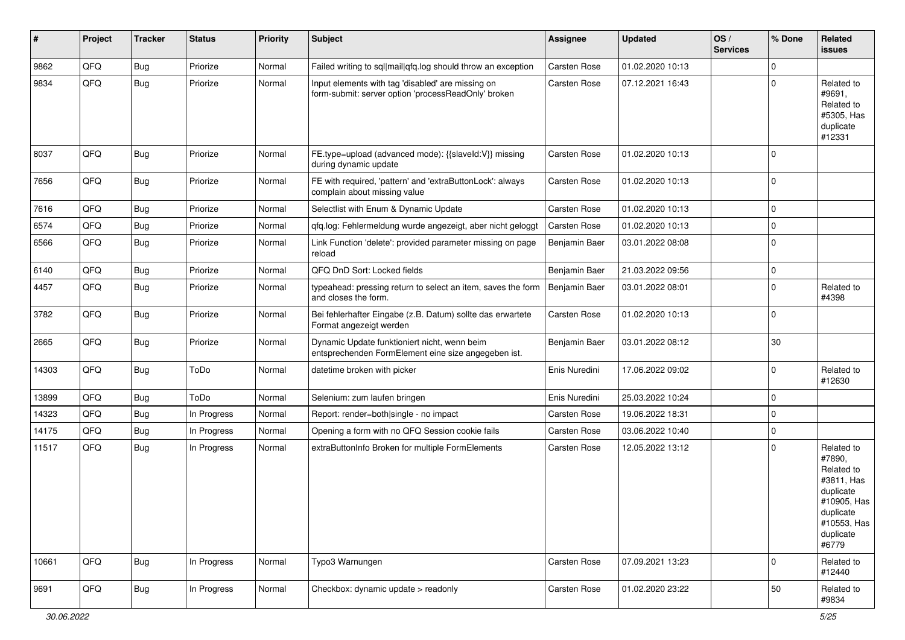| #     | Project | <b>Tracker</b> | <b>Status</b> | <b>Priority</b> | <b>Subject</b>                                                                                           | Assignee      | <b>Updated</b>   | OS/<br><b>Services</b> | % Done      | Related<br>issues                                                                                                              |
|-------|---------|----------------|---------------|-----------------|----------------------------------------------------------------------------------------------------------|---------------|------------------|------------------------|-------------|--------------------------------------------------------------------------------------------------------------------------------|
| 9862  | QFQ     | Bug            | Priorize      | Normal          | Failed writing to sql mail qfq.log should throw an exception                                             | Carsten Rose  | 01.02.2020 10:13 |                        | $\Omega$    |                                                                                                                                |
| 9834  | QFQ     | Bug            | Priorize      | Normal          | Input elements with tag 'disabled' are missing on<br>form-submit: server option 'processReadOnly' broken | Carsten Rose  | 07.12.2021 16:43 |                        | $\Omega$    | Related to<br>#9691,<br>Related to<br>#5305, Has<br>duplicate<br>#12331                                                        |
| 8037  | QFQ     | <b>Bug</b>     | Priorize      | Normal          | FE.type=upload (advanced mode): {{slaveId:V}} missing<br>during dynamic update                           | Carsten Rose  | 01.02.2020 10:13 |                        | $\Omega$    |                                                                                                                                |
| 7656  | QFQ     | Bug            | Priorize      | Normal          | FE with required, 'pattern' and 'extraButtonLock': always<br>complain about missing value                | Carsten Rose  | 01.02.2020 10:13 |                        | $\mathbf 0$ |                                                                                                                                |
| 7616  | QFQ     | Bug            | Priorize      | Normal          | Selectlist with Enum & Dynamic Update                                                                    | Carsten Rose  | 01.02.2020 10:13 |                        | $\mathbf 0$ |                                                                                                                                |
| 6574  | QFQ     | Bug            | Priorize      | Normal          | qfq.log: Fehlermeldung wurde angezeigt, aber nicht geloggt                                               | Carsten Rose  | 01.02.2020 10:13 |                        | $\mathbf 0$ |                                                                                                                                |
| 6566  | QFQ     | Bug            | Priorize      | Normal          | Link Function 'delete': provided parameter missing on page<br>reload                                     | Benjamin Baer | 03.01.2022 08:08 |                        | $\Omega$    |                                                                                                                                |
| 6140  | QFQ     | Bug            | Priorize      | Normal          | QFQ DnD Sort: Locked fields                                                                              | Benjamin Baer | 21.03.2022 09:56 |                        | $\mathbf 0$ |                                                                                                                                |
| 4457  | QFQ     | Bug            | Priorize      | Normal          | typeahead: pressing return to select an item, saves the form<br>and closes the form.                     | Benjamin Baer | 03.01.2022 08:01 |                        | $\Omega$    | Related to<br>#4398                                                                                                            |
| 3782  | QFQ     | Bug            | Priorize      | Normal          | Bei fehlerhafter Eingabe (z.B. Datum) sollte das erwartete<br>Format angezeigt werden                    | Carsten Rose  | 01.02.2020 10:13 |                        | $\mathbf 0$ |                                                                                                                                |
| 2665  | QFQ     | <b>Bug</b>     | Priorize      | Normal          | Dynamic Update funktioniert nicht, wenn beim<br>entsprechenden FormElement eine size angegeben ist.      | Benjamin Baer | 03.01.2022 08:12 |                        | 30          |                                                                                                                                |
| 14303 | QFQ     | <b>Bug</b>     | ToDo          | Normal          | datetime broken with picker                                                                              | Enis Nuredini | 17.06.2022 09:02 |                        | $\mathbf 0$ | Related to<br>#12630                                                                                                           |
| 13899 | QFQ     | Bug            | ToDo          | Normal          | Selenium: zum laufen bringen                                                                             | Enis Nuredini | 25.03.2022 10:24 |                        | $\Omega$    |                                                                                                                                |
| 14323 | QFQ     | <b>Bug</b>     | In Progress   | Normal          | Report: render=both single - no impact                                                                   | Carsten Rose  | 19.06.2022 18:31 |                        | $\Omega$    |                                                                                                                                |
| 14175 | QFQ     | Bug            | In Progress   | Normal          | Opening a form with no QFQ Session cookie fails                                                          | Carsten Rose  | 03.06.2022 10:40 |                        | $\mathbf 0$ |                                                                                                                                |
| 11517 | QFQ     | Bug            | In Progress   | Normal          | extraButtonInfo Broken for multiple FormElements                                                         | Carsten Rose  | 12.05.2022 13:12 |                        | $\Omega$    | Related to<br>#7890,<br>Related to<br>#3811, Has<br>duplicate<br>#10905, Has<br>duplicate<br>#10553, Has<br>duplicate<br>#6779 |
| 10661 | QFQ     | Bug            | In Progress   | Normal          | Typo3 Warnungen                                                                                          | Carsten Rose  | 07.09.2021 13:23 |                        | $\Omega$    | Related to<br>#12440                                                                                                           |
| 9691  | QFQ     | Bug            | In Progress   | Normal          | Checkbox: dynamic update > readonly                                                                      | Carsten Rose  | 01.02.2020 23:22 |                        | 50          | Related to<br>#9834                                                                                                            |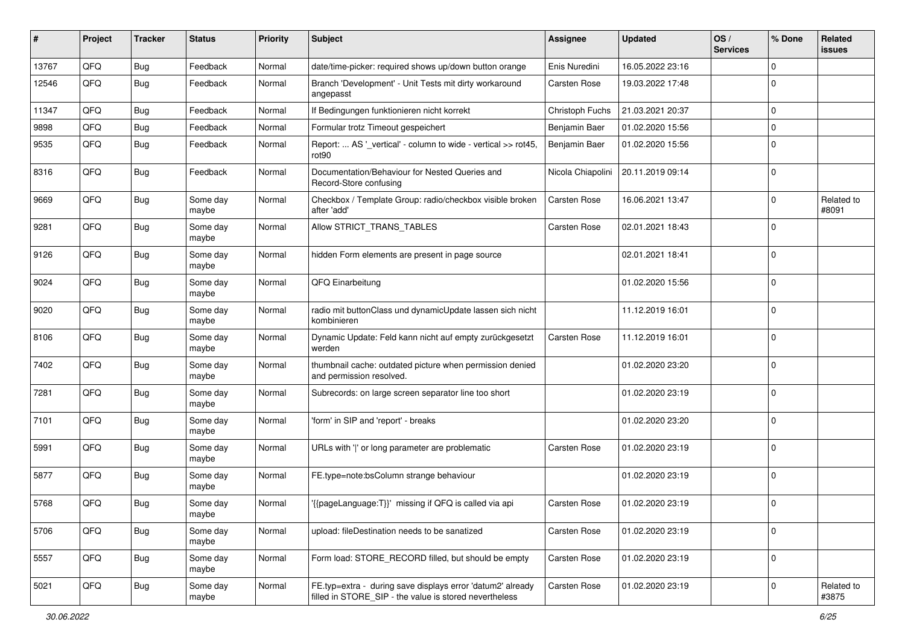| ∦     | Project | <b>Tracker</b> | <b>Status</b>     | <b>Priority</b> | Subject                                                                                                              | <b>Assignee</b>     | <b>Updated</b>   | OS/<br><b>Services</b> | % Done       | Related<br>issues   |
|-------|---------|----------------|-------------------|-----------------|----------------------------------------------------------------------------------------------------------------------|---------------------|------------------|------------------------|--------------|---------------------|
| 13767 | QFQ     | Bug            | Feedback          | Normal          | date/time-picker: required shows up/down button orange                                                               | Enis Nuredini       | 16.05.2022 23:16 |                        | $\mathbf 0$  |                     |
| 12546 | QFQ     | Bug            | Feedback          | Normal          | Branch 'Development' - Unit Tests mit dirty workaround<br>angepasst                                                  | <b>Carsten Rose</b> | 19.03.2022 17:48 |                        | $\mathbf 0$  |                     |
| 11347 | QFQ     | Bug            | Feedback          | Normal          | If Bedingungen funktionieren nicht korrekt                                                                           | Christoph Fuchs     | 21.03.2021 20:37 |                        | 0            |                     |
| 9898  | QFQ     | <b>Bug</b>     | Feedback          | Normal          | Formular trotz Timeout gespeichert                                                                                   | Benjamin Baer       | 01.02.2020 15:56 |                        | 0            |                     |
| 9535  | QFQ     | <b>Bug</b>     | Feedback          | Normal          | Report:  AS '_vertical' - column to wide - vertical >> rot45,<br>rot90                                               | Benjamin Baer       | 01.02.2020 15:56 |                        | $\mathbf 0$  |                     |
| 8316  | QFQ     | Bug            | Feedback          | Normal          | Documentation/Behaviour for Nested Queries and<br>Record-Store confusing                                             | Nicola Chiapolini   | 20.11.2019 09:14 |                        | $\mathbf 0$  |                     |
| 9669  | QFQ     | Bug            | Some day<br>maybe | Normal          | Checkbox / Template Group: radio/checkbox visible broken<br>after 'add'                                              | <b>Carsten Rose</b> | 16.06.2021 13:47 |                        | $\mathbf 0$  | Related to<br>#8091 |
| 9281  | QFQ     | <b>Bug</b>     | Some day<br>maybe | Normal          | Allow STRICT_TRANS_TABLES                                                                                            | <b>Carsten Rose</b> | 02.01.2021 18:43 |                        | $\mathbf 0$  |                     |
| 9126  | QFQ     | Bug            | Some day<br>maybe | Normal          | hidden Form elements are present in page source                                                                      |                     | 02.01.2021 18:41 |                        | $\mathbf 0$  |                     |
| 9024  | QFQ     | <b>Bug</b>     | Some day<br>maybe | Normal          | QFQ Einarbeitung                                                                                                     |                     | 01.02.2020 15:56 |                        | $\mathbf 0$  |                     |
| 9020  | QFQ     | Bug            | Some day<br>maybe | Normal          | radio mit buttonClass und dynamicUpdate lassen sich nicht<br>kombinieren                                             |                     | 11.12.2019 16:01 |                        | $\mathbf 0$  |                     |
| 8106  | QFQ     | <b>Bug</b>     | Some day<br>maybe | Normal          | Dynamic Update: Feld kann nicht auf empty zurückgesetzt<br>werden                                                    | Carsten Rose        | 11.12.2019 16:01 |                        | $\mathbf 0$  |                     |
| 7402  | QFQ     | <b>Bug</b>     | Some day<br>maybe | Normal          | thumbnail cache: outdated picture when permission denied<br>and permission resolved.                                 |                     | 01.02.2020 23:20 |                        | $\mathbf 0$  |                     |
| 7281  | QFQ     | <b>Bug</b>     | Some day<br>maybe | Normal          | Subrecords: on large screen separator line too short                                                                 |                     | 01.02.2020 23:19 |                        | $\Omega$     |                     |
| 7101  | QFQ     | <b>Bug</b>     | Some day<br>maybe | Normal          | 'form' in SIP and 'report' - breaks                                                                                  |                     | 01.02.2020 23:20 |                        | $\mathbf 0$  |                     |
| 5991  | QFQ     | <b>Bug</b>     | Some day<br>maybe | Normal          | URLs with ' ' or long parameter are problematic                                                                      | <b>Carsten Rose</b> | 01.02.2020 23:19 |                        | $\mathbf 0$  |                     |
| 5877  | QFQ     | <b>Bug</b>     | Some day<br>maybe | Normal          | FE.type=note:bsColumn strange behaviour                                                                              |                     | 01.02.2020 23:19 |                        | $\mathbf 0$  |                     |
| 5768  | QFQ     | <b>Bug</b>     | Some day<br>maybe | Normal          | '{{pageLanguage:T}}' missing if QFQ is called via api                                                                | <b>Carsten Rose</b> | 01.02.2020 23:19 |                        | $\mathbf 0$  |                     |
| 5706  | QFQ     | <b>Bug</b>     | Some day<br>maybe | Normal          | upload: fileDestination needs to be sanatized                                                                        | <b>Carsten Rose</b> | 01.02.2020 23:19 |                        | 0            |                     |
| 5557  | QFQ     | <b>Bug</b>     | Some day<br>maybe | Normal          | Form load: STORE_RECORD filled, but should be empty                                                                  | Carsten Rose        | 01.02.2020 23:19 |                        | $\mathbf{0}$ |                     |
| 5021  | QFQ     | <b>Bug</b>     | Some day<br>maybe | Normal          | FE.typ=extra - during save displays error 'datum2' already<br>filled in STORE_SIP - the value is stored nevertheless | Carsten Rose        | 01.02.2020 23:19 |                        | 0            | Related to<br>#3875 |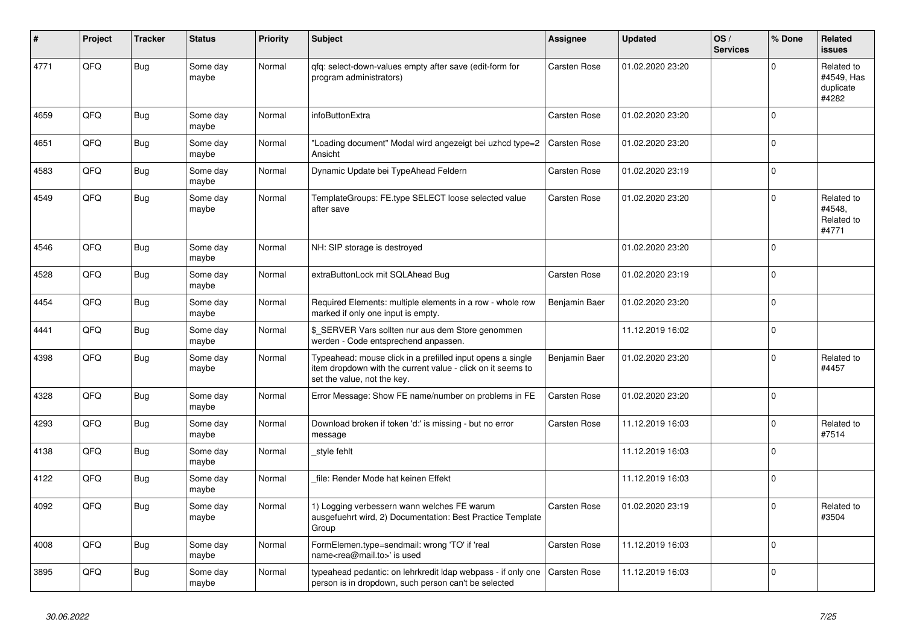| #    | Project | <b>Tracker</b> | <b>Status</b>     | <b>Priority</b> | <b>Subject</b>                                                                                                                                           | Assignee            | <b>Updated</b>   | OS/<br><b>Services</b> | % Done      | Related<br><b>issues</b>                       |
|------|---------|----------------|-------------------|-----------------|----------------------------------------------------------------------------------------------------------------------------------------------------------|---------------------|------------------|------------------------|-------------|------------------------------------------------|
| 4771 | QFQ     | <b>Bug</b>     | Some day<br>maybe | Normal          | gfg: select-down-values empty after save (edit-form for<br>program administrators)                                                                       | <b>Carsten Rose</b> | 01.02.2020 23:20 |                        | $\Omega$    | Related to<br>#4549, Has<br>duplicate<br>#4282 |
| 4659 | QFQ     | Bug            | Some day<br>maybe | Normal          | infoButtonExtra                                                                                                                                          | <b>Carsten Rose</b> | 01.02.2020 23:20 |                        | $\Omega$    |                                                |
| 4651 | QFQ     | <b>Bug</b>     | Some day<br>maybe | Normal          | 'Loading document" Modal wird angezeigt bei uzhcd type=2<br>Ansicht                                                                                      | Carsten Rose        | 01.02.2020 23:20 |                        | $\Omega$    |                                                |
| 4583 | QFQ     | Bug            | Some day<br>maybe | Normal          | Dynamic Update bei TypeAhead Feldern                                                                                                                     | Carsten Rose        | 01.02.2020 23:19 |                        | $\mathbf 0$ |                                                |
| 4549 | QFQ     | Bug            | Some day<br>maybe | Normal          | TemplateGroups: FE.type SELECT loose selected value<br>after save                                                                                        | <b>Carsten Rose</b> | 01.02.2020 23:20 |                        | $\mathbf 0$ | Related to<br>#4548,<br>Related to<br>#4771    |
| 4546 | QFQ     | Bug            | Some day<br>maybe | Normal          | NH: SIP storage is destroyed                                                                                                                             |                     | 01.02.2020 23:20 |                        | $\Omega$    |                                                |
| 4528 | QFQ     | Bug            | Some day<br>maybe | Normal          | extraButtonLock mit SQLAhead Bug                                                                                                                         | Carsten Rose        | 01.02.2020 23:19 |                        | $\Omega$    |                                                |
| 4454 | QFQ     | Bug            | Some day<br>maybe | Normal          | Required Elements: multiple elements in a row - whole row<br>marked if only one input is empty.                                                          | Benjamin Baer       | 01.02.2020 23:20 |                        | $\Omega$    |                                                |
| 4441 | QFQ     | Bug            | Some day<br>maybe | Normal          | \$ SERVER Vars sollten nur aus dem Store genommen<br>werden - Code entsprechend anpassen.                                                                |                     | 11.12.2019 16:02 |                        | $\Omega$    |                                                |
| 4398 | QFQ     | <b>Bug</b>     | Some day<br>maybe | Normal          | Typeahead: mouse click in a prefilled input opens a single<br>item dropdown with the current value - click on it seems to<br>set the value, not the key. | Benjamin Baer       | 01.02.2020 23:20 |                        | $\Omega$    | Related to<br>#4457                            |
| 4328 | QFQ     | Bug            | Some day<br>maybe | Normal          | Error Message: Show FE name/number on problems in FE                                                                                                     | <b>Carsten Rose</b> | 01.02.2020 23:20 |                        | $\mathbf 0$ |                                                |
| 4293 | QFQ     | Bug            | Some day<br>maybe | Normal          | Download broken if token 'd:' is missing - but no error<br>message                                                                                       | <b>Carsten Rose</b> | 11.12.2019 16:03 |                        | $\mathbf 0$ | Related to<br>#7514                            |
| 4138 | QFQ     | Bug            | Some day<br>maybe | Normal          | style fehlt                                                                                                                                              |                     | 11.12.2019 16:03 |                        | $\Omega$    |                                                |
| 4122 | QFQ     | <b>Bug</b>     | Some day<br>maybe | Normal          | file: Render Mode hat keinen Effekt                                                                                                                      |                     | 11.12.2019 16:03 |                        | $\mathbf 0$ |                                                |
| 4092 | QFQ     | <b>Bug</b>     | Some day<br>maybe | Normal          | 1) Logging verbessern wann welches FE warum<br>ausgefuehrt wird, 2) Documentation: Best Practice Template<br>Group                                       | <b>Carsten Rose</b> | 01.02.2020 23:19 |                        | $\mathbf 0$ | Related to<br>#3504                            |
| 4008 | QFQ     | Bug            | Some day<br>maybe | Normal          | FormElemen.type=sendmail: wrong 'TO' if 'real<br>name <rea@mail.to>' is used</rea@mail.to>                                                               | <b>Carsten Rose</b> | 11.12.2019 16:03 |                        | $\mathbf 0$ |                                                |
| 3895 | QFQ     | <b>Bug</b>     | Some day<br>maybe | Normal          | typeahead pedantic: on lehrkredit Idap webpass - if only one<br>person is in dropdown, such person can't be selected                                     | <b>Carsten Rose</b> | 11.12.2019 16:03 |                        | $\Omega$    |                                                |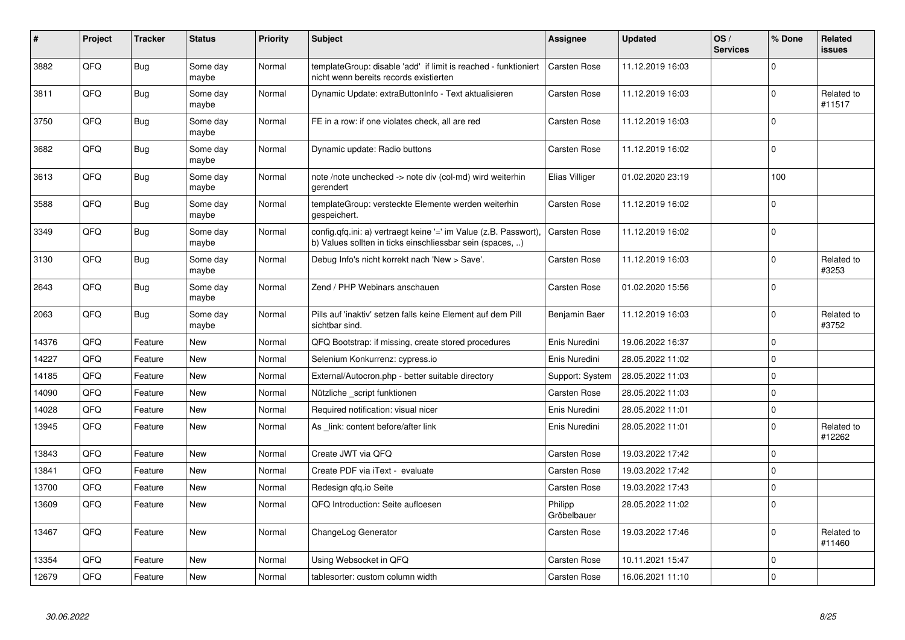| #     | Project | <b>Tracker</b> | <b>Status</b>     | <b>Priority</b> | <b>Subject</b>                                                                                                                | Assignee               | <b>Updated</b>   | OS/<br><b>Services</b> | % Done       | Related<br>issues    |
|-------|---------|----------------|-------------------|-----------------|-------------------------------------------------------------------------------------------------------------------------------|------------------------|------------------|------------------------|--------------|----------------------|
| 3882  | QFQ     | Bug            | Some day<br>maybe | Normal          | templateGroup: disable 'add' if limit is reached - funktioniert<br>nicht wenn bereits records existierten                     | <b>Carsten Rose</b>    | 11.12.2019 16:03 |                        | $\mathbf 0$  |                      |
| 3811  | QFQ     | Bug            | Some day<br>maybe | Normal          | Dynamic Update: extraButtonInfo - Text aktualisieren                                                                          | Carsten Rose           | 11.12.2019 16:03 |                        | $\mathbf{0}$ | Related to<br>#11517 |
| 3750  | QFQ     | Bug            | Some day<br>maybe | Normal          | FE in a row: if one violates check, all are red                                                                               | Carsten Rose           | 11.12.2019 16:03 |                        | $\mathbf 0$  |                      |
| 3682  | QFQ     | Bug            | Some day<br>maybe | Normal          | Dynamic update: Radio buttons                                                                                                 | Carsten Rose           | 11.12.2019 16:02 |                        | $\mathbf 0$  |                      |
| 3613  | QFQ     | Bug            | Some day<br>maybe | Normal          | note /note unchecked -> note div (col-md) wird weiterhin<br>gerendert                                                         | Elias Villiger         | 01.02.2020 23:19 |                        | 100          |                      |
| 3588  | QFQ     | Bug            | Some day<br>maybe | Normal          | templateGroup: versteckte Elemente werden weiterhin<br>gespeichert.                                                           | Carsten Rose           | 11.12.2019 16:02 |                        | $\Omega$     |                      |
| 3349  | QFQ     | Bug            | Some day<br>maybe | Normal          | config.qfq.ini: a) vertraegt keine '=' im Value (z.B. Passwort),<br>b) Values sollten in ticks einschliessbar sein (spaces, ) | <b>Carsten Rose</b>    | 11.12.2019 16:02 |                        | $\Omega$     |                      |
| 3130  | QFQ     | Bug            | Some day<br>maybe | Normal          | Debug Info's nicht korrekt nach 'New > Save'.                                                                                 | Carsten Rose           | 11.12.2019 16:03 |                        | $\mathbf{0}$ | Related to<br>#3253  |
| 2643  | QFQ     | Bug            | Some day<br>maybe | Normal          | Zend / PHP Webinars anschauen                                                                                                 | Carsten Rose           | 01.02.2020 15:56 |                        | $\mathbf{0}$ |                      |
| 2063  | QFQ     | Bug            | Some day<br>maybe | Normal          | Pills auf 'inaktiv' setzen falls keine Element auf dem Pill<br>sichtbar sind.                                                 | Benjamin Baer          | 11.12.2019 16:03 |                        | $\mathbf{0}$ | Related to<br>#3752  |
| 14376 | QFQ     | Feature        | <b>New</b>        | Normal          | QFQ Bootstrap: if missing, create stored procedures                                                                           | Enis Nuredini          | 19.06.2022 16:37 |                        | $\mathbf{0}$ |                      |
| 14227 | QFQ     | Feature        | <b>New</b>        | Normal          | Selenium Konkurrenz: cypress.io                                                                                               | Enis Nuredini          | 28.05.2022 11:02 |                        | $\Omega$     |                      |
| 14185 | QFQ     | Feature        | <b>New</b>        | Normal          | External/Autocron.php - better suitable directory                                                                             | Support: System        | 28.05.2022 11:03 |                        | $\mathbf{0}$ |                      |
| 14090 | QFQ     | Feature        | <b>New</b>        | Normal          | Nützliche _script funktionen                                                                                                  | Carsten Rose           | 28.05.2022 11:03 |                        | $\Omega$     |                      |
| 14028 | QFQ     | Feature        | New               | Normal          | Required notification: visual nicer                                                                                           | Enis Nuredini          | 28.05.2022 11:01 |                        | $\pmb{0}$    |                      |
| 13945 | QFQ     | Feature        | <b>New</b>        | Normal          | As _link: content before/after link                                                                                           | Enis Nuredini          | 28.05.2022 11:01 |                        | $\Omega$     | Related to<br>#12262 |
| 13843 | QFQ     | Feature        | <b>New</b>        | Normal          | Create JWT via QFQ                                                                                                            | Carsten Rose           | 19.03.2022 17:42 |                        | $\Omega$     |                      |
| 13841 | QFQ     | Feature        | <b>New</b>        | Normal          | Create PDF via iText - evaluate                                                                                               | Carsten Rose           | 19.03.2022 17:42 |                        | $\mathbf 0$  |                      |
| 13700 | QFQ     | Feature        | <b>New</b>        | Normal          | Redesign qfq.io Seite                                                                                                         | <b>Carsten Rose</b>    | 19.03.2022 17:43 |                        | $\Omega$     |                      |
| 13609 | QFQ     | Feature        | <b>New</b>        | Normal          | QFQ Introduction: Seite aufloesen                                                                                             | Philipp<br>Gröbelbauer | 28.05.2022 11:02 |                        | $\Omega$     |                      |
| 13467 | QFQ     | Feature        | <b>New</b>        | Normal          | ChangeLog Generator                                                                                                           | Carsten Rose           | 19.03.2022 17:46 |                        | $\mathbf 0$  | Related to<br>#11460 |
| 13354 | QFQ     | Feature        | <b>New</b>        | Normal          | Using Websocket in QFQ                                                                                                        | Carsten Rose           | 10.11.2021 15:47 |                        | $\mathbf 0$  |                      |
| 12679 | QFQ     | Feature        | New               | Normal          | tablesorter: custom column width                                                                                              | <b>Carsten Rose</b>    | 16.06.2021 11:10 |                        | $\Omega$     |                      |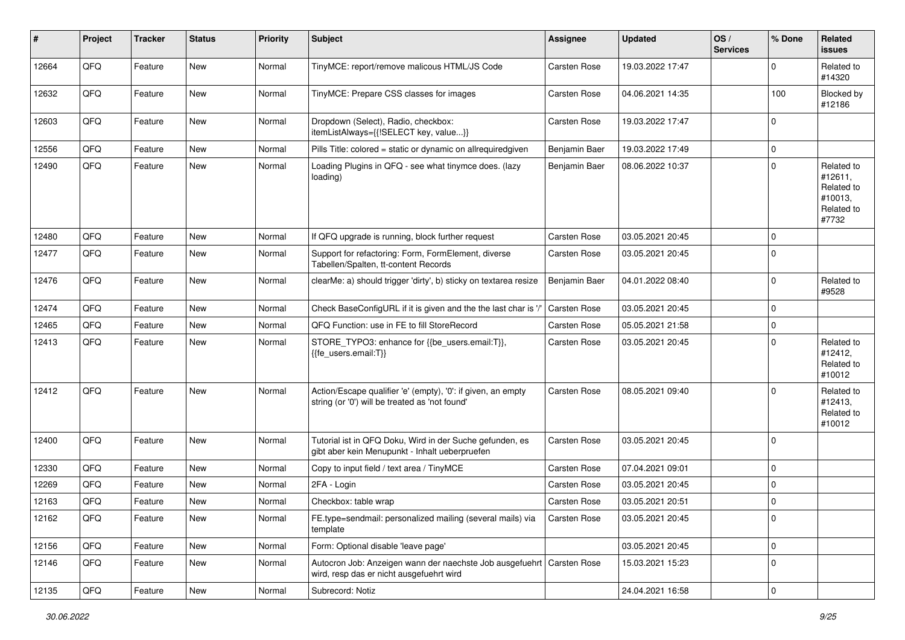| $\sharp$ | Project | <b>Tracker</b> | <b>Status</b> | <b>Priority</b> | <b>Subject</b>                                                                                                      | <b>Assignee</b>     | <b>Updated</b>   | OS/<br><b>Services</b> | % Done      | Related<br><b>issues</b>                                              |
|----------|---------|----------------|---------------|-----------------|---------------------------------------------------------------------------------------------------------------------|---------------------|------------------|------------------------|-------------|-----------------------------------------------------------------------|
| 12664    | QFQ     | Feature        | New           | Normal          | TinyMCE: report/remove malicous HTML/JS Code                                                                        | Carsten Rose        | 19.03.2022 17:47 |                        | $\Omega$    | Related to<br>#14320                                                  |
| 12632    | QFQ     | Feature        | New           | Normal          | TinyMCE: Prepare CSS classes for images                                                                             | Carsten Rose        | 04.06.2021 14:35 |                        | 100         | Blocked by<br>#12186                                                  |
| 12603    | QFQ     | Feature        | New           | Normal          | Dropdown (Select), Radio, checkbox:<br>itemListAlways={{!SELECT key, value}}                                        | Carsten Rose        | 19.03.2022 17:47 |                        | $\Omega$    |                                                                       |
| 12556    | QFQ     | Feature        | New           | Normal          | Pills Title: colored = static or dynamic on allrequiredgiven                                                        | Benjamin Baer       | 19.03.2022 17:49 |                        | $\mathbf 0$ |                                                                       |
| 12490    | QFQ     | Feature        | New           | Normal          | Loading Plugins in QFQ - see what tinymce does. (lazy<br>loading)                                                   | Benjamin Baer       | 08.06.2022 10:37 |                        | $\Omega$    | Related to<br>#12611,<br>Related to<br>#10013,<br>Related to<br>#7732 |
| 12480    | QFQ     | Feature        | New           | Normal          | If QFQ upgrade is running, block further request                                                                    | Carsten Rose        | 03.05.2021 20:45 |                        | $\mathbf 0$ |                                                                       |
| 12477    | QFQ     | Feature        | New           | Normal          | Support for refactoring: Form, FormElement, diverse<br>Tabellen/Spalten, tt-content Records                         | Carsten Rose        | 03.05.2021 20:45 |                        | $\mathbf 0$ |                                                                       |
| 12476    | QFQ     | Feature        | New           | Normal          | clearMe: a) should trigger 'dirty', b) sticky on textarea resize                                                    | Benjamin Baer       | 04.01.2022 08:40 |                        | $\mathbf 0$ | Related to<br>#9528                                                   |
| 12474    | QFQ     | Feature        | New           | Normal          | Check BaseConfigURL if it is given and the the last char is '/                                                      | Carsten Rose        | 03.05.2021 20:45 |                        | $\mathbf 0$ |                                                                       |
| 12465    | QFQ     | Feature        | <b>New</b>    | Normal          | QFQ Function: use in FE to fill StoreRecord                                                                         | Carsten Rose        | 05.05.2021 21:58 |                        | $\mathbf 0$ |                                                                       |
| 12413    | QFQ     | Feature        | New           | Normal          | STORE_TYPO3: enhance for {{be_users.email:T}},<br>{{fe users.email:T}}                                              | Carsten Rose        | 03.05.2021 20:45 |                        | $\mathbf 0$ | Related to<br>#12412,<br>Related to<br>#10012                         |
| 12412    | QFQ     | Feature        | <b>New</b>    | Normal          | Action/Escape qualifier 'e' (empty), '0': if given, an empty<br>string (or '0') will be treated as 'not found'      | Carsten Rose        | 08.05.2021 09:40 |                        | $\Omega$    | Related to<br>#12413,<br>Related to<br>#10012                         |
| 12400    | QFQ     | Feature        | New           | Normal          | Tutorial ist in QFQ Doku, Wird in der Suche gefunden, es<br>gibt aber kein Menupunkt - Inhalt ueberpruefen          | Carsten Rose        | 03.05.2021 20:45 |                        | $\mathbf 0$ |                                                                       |
| 12330    | QFQ     | Feature        | New           | Normal          | Copy to input field / text area / TinyMCE                                                                           | Carsten Rose        | 07.04.2021 09:01 |                        | $\mathbf 0$ |                                                                       |
| 12269    | QFQ     | Feature        | New           | Normal          | 2FA - Login                                                                                                         | Carsten Rose        | 03.05.2021 20:45 |                        | $\mathbf 0$ |                                                                       |
| 12163    | QFQ     | Feature        | New           | Normal          | Checkbox: table wrap                                                                                                | Carsten Rose        | 03.05.2021 20:51 |                        | $\mathbf 0$ |                                                                       |
| 12162    | QFQ     | Feature        | New           | Normal          | FE.type=sendmail: personalized mailing (several mails) via<br>template                                              | <b>Carsten Rose</b> | 03.05.2021 20:45 |                        | 0           |                                                                       |
| 12156    | QFQ     | Feature        | New           | Normal          | Form: Optional disable 'leave page'                                                                                 |                     | 03.05.2021 20:45 |                        | $\mathbf 0$ |                                                                       |
| 12146    | QFQ     | Feature        | New           | Normal          | Autocron Job: Anzeigen wann der naechste Job ausgefuehrt   Carsten Rose<br>wird, resp das er nicht ausgefuehrt wird |                     | 15.03.2021 15:23 |                        | $\mathbf 0$ |                                                                       |
| 12135    | QFQ     | Feature        | New           | Normal          | Subrecord: Notiz                                                                                                    |                     | 24.04.2021 16:58 |                        | $\mathbf 0$ |                                                                       |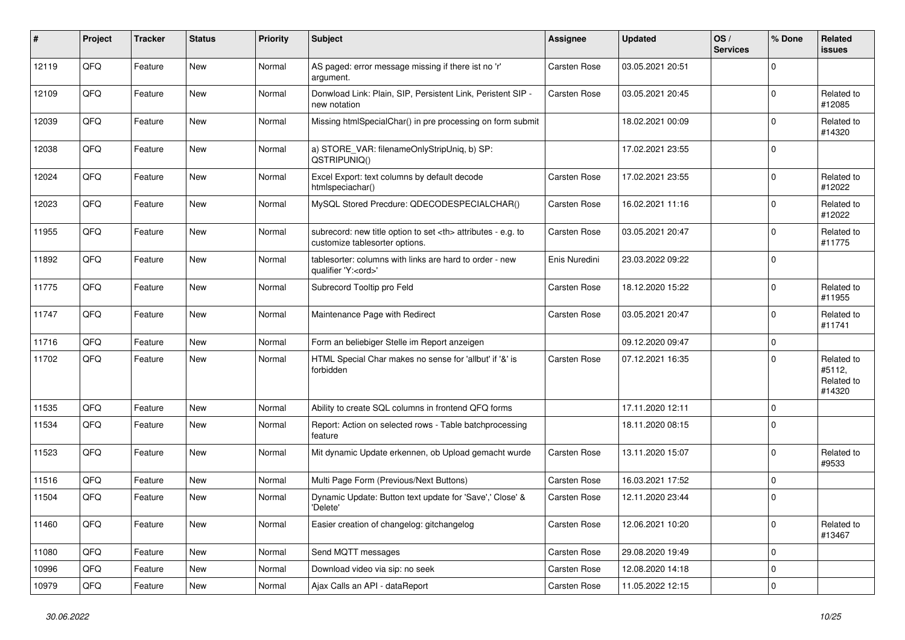| ∦     | Project | <b>Tracker</b> | <b>Status</b> | <b>Priority</b> | <b>Subject</b>                                                                                       | <b>Assignee</b>                                        | <b>Updated</b>   | OS/<br><b>Services</b> | % Done      | Related<br>issues                            |                      |
|-------|---------|----------------|---------------|-----------------|------------------------------------------------------------------------------------------------------|--------------------------------------------------------|------------------|------------------------|-------------|----------------------------------------------|----------------------|
| 12119 | QFQ     | Feature        | <b>New</b>    | Normal          | AS paged: error message missing if there ist no 'r'<br>argument.                                     | Carsten Rose                                           | 03.05.2021 20:51 |                        | $\Omega$    |                                              |                      |
| 12109 | QFQ     | Feature        | <b>New</b>    | Normal          | Donwload Link: Plain, SIP, Persistent Link, Peristent SIP -<br>new notation                          | Carsten Rose                                           | 03.05.2021 20:45 |                        | $\mathbf 0$ | Related to<br>#12085                         |                      |
| 12039 | QFQ     | Feature        | New           | Normal          | Missing htmlSpecialChar() in pre processing on form submit                                           |                                                        | 18.02.2021 00:09 |                        | $\Omega$    | Related to<br>#14320                         |                      |
| 12038 | QFQ     | Feature        | New           | Normal          | a) STORE_VAR: filenameOnlyStripUniq, b) SP:<br>QSTRIPUNIQ()                                          |                                                        | 17.02.2021 23:55 |                        | $\mathbf 0$ |                                              |                      |
| 12024 | QFQ     | Feature        | New           | Normal          | Excel Export: text columns by default decode<br>htmlspeciachar()                                     | <b>Carsten Rose</b>                                    | 17.02.2021 23:55 |                        | $\Omega$    | Related to<br>#12022                         |                      |
| 12023 | QFQ     | Feature        | <b>New</b>    | Normal          | MySQL Stored Precdure: QDECODESPECIALCHAR()                                                          | Carsten Rose                                           | 16.02.2021 11:16 |                        | $\Omega$    | Related to<br>#12022                         |                      |
| 11955 | QFQ     | Feature        | New           | Normal          | subrecord: new title option to set <th> attributes - e.g. to<br/>customize tablesorter options.</th> | attributes - e.g. to<br>customize tablesorter options. | Carsten Rose     | 03.05.2021 20:47       |             | $\Omega$                                     | Related to<br>#11775 |
| 11892 | QFQ     | Feature        | <b>New</b>    | Normal          | tablesorter: columns with links are hard to order - new<br>qualifier 'Y: <ord>'</ord>                | Enis Nuredini                                          | 23.03.2022 09:22 |                        | $\mathbf 0$ |                                              |                      |
| 11775 | QFQ     | Feature        | <b>New</b>    | Normal          | Subrecord Tooltip pro Feld                                                                           | Carsten Rose                                           | 18.12.2020 15:22 |                        | $\Omega$    | Related to<br>#11955                         |                      |
| 11747 | QFQ     | Feature        | New           | Normal          | Maintenance Page with Redirect                                                                       | <b>Carsten Rose</b>                                    | 03.05.2021 20:47 |                        | $\Omega$    | Related to<br>#11741                         |                      |
| 11716 | QFQ     | Feature        | New           | Normal          | Form an beliebiger Stelle im Report anzeigen                                                         |                                                        | 09.12.2020 09:47 |                        | $\mathbf 0$ |                                              |                      |
| 11702 | QFQ     | Feature        | <b>New</b>    | Normal          | HTML Special Char makes no sense for 'allbut' if '&' is<br>forbidden                                 | <b>Carsten Rose</b>                                    | 07.12.2021 16:35 |                        | $\Omega$    | Related to<br>#5112,<br>Related to<br>#14320 |                      |
| 11535 | QFQ     | Feature        | <b>New</b>    | Normal          | Ability to create SQL columns in frontend QFQ forms                                                  |                                                        | 17.11.2020 12:11 |                        | $\mathbf 0$ |                                              |                      |
| 11534 | QFQ     | Feature        | New           | Normal          | Report: Action on selected rows - Table batchprocessing<br>feature                                   |                                                        | 18.11.2020 08:15 |                        | $\Omega$    |                                              |                      |
| 11523 | QFQ     | Feature        | <b>New</b>    | Normal          | Mit dynamic Update erkennen, ob Upload gemacht wurde                                                 | <b>Carsten Rose</b>                                    | 13.11.2020 15:07 |                        | $\mathbf 0$ | Related to<br>#9533                          |                      |
| 11516 | QFQ     | Feature        | <b>New</b>    | Normal          | Multi Page Form (Previous/Next Buttons)                                                              | Carsten Rose                                           | 16.03.2021 17:52 |                        | $\Omega$    |                                              |                      |
| 11504 | QFQ     | Feature        | New           | Normal          | Dynamic Update: Button text update for 'Save',' Close' &<br>'Delete'                                 | Carsten Rose                                           | 12.11.2020 23:44 |                        | $\mathbf 0$ |                                              |                      |
| 11460 | QFQ     | Feature        | New           | Normal          | Easier creation of changelog: gitchangelog                                                           | Carsten Rose                                           | 12.06.2021 10:20 |                        | $\mathbf 0$ | Related to<br>#13467                         |                      |
| 11080 | QFQ     | Feature        | New           | Normal          | Send MQTT messages                                                                                   | Carsten Rose                                           | 29.08.2020 19:49 |                        | $\mathbf 0$ |                                              |                      |
| 10996 | QFQ     | Feature        | New           | Normal          | Download video via sip: no seek                                                                      | Carsten Rose                                           | 12.08.2020 14:18 |                        | $\mathbf 0$ |                                              |                      |
| 10979 | QFQ     | Feature        | New           | Normal          | Ajax Calls an API - dataReport                                                                       | Carsten Rose                                           | 11.05.2022 12:15 |                        | 0           |                                              |                      |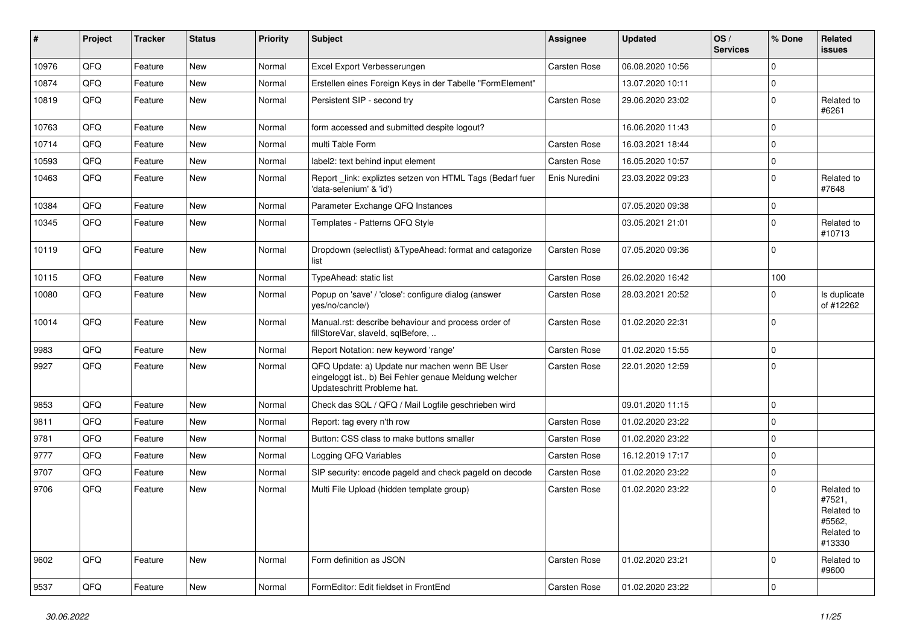| ∦     | Project | <b>Tracker</b> | <b>Status</b> | <b>Priority</b> | Subject                                                                                                                               | <b>Assignee</b>     | <b>Updated</b>   | OS/<br><b>Services</b> | % Done      | Related<br>issues                                                    |
|-------|---------|----------------|---------------|-----------------|---------------------------------------------------------------------------------------------------------------------------------------|---------------------|------------------|------------------------|-------------|----------------------------------------------------------------------|
| 10976 | QFQ     | Feature        | <b>New</b>    | Normal          | Excel Export Verbesserungen                                                                                                           | <b>Carsten Rose</b> | 06.08.2020 10:56 |                        | $\Omega$    |                                                                      |
| 10874 | QFQ     | Feature        | New           | Normal          | Erstellen eines Foreign Keys in der Tabelle "FormElement"                                                                             |                     | 13.07.2020 10:11 |                        | $\mathbf 0$ |                                                                      |
| 10819 | QFQ     | Feature        | New           | Normal          | Persistent SIP - second try                                                                                                           | Carsten Rose        | 29.06.2020 23:02 |                        | $\Omega$    | Related to<br>#6261                                                  |
| 10763 | QFQ     | Feature        | <b>New</b>    | Normal          | form accessed and submitted despite logout?                                                                                           |                     | 16.06.2020 11:43 |                        | $\Omega$    |                                                                      |
| 10714 | QFQ     | Feature        | <b>New</b>    | Normal          | multi Table Form                                                                                                                      | <b>Carsten Rose</b> | 16.03.2021 18:44 |                        | $\Omega$    |                                                                      |
| 10593 | QFQ     | Feature        | New           | Normal          | label2: text behind input element                                                                                                     | Carsten Rose        | 16.05.2020 10:57 |                        | $\mathbf 0$ |                                                                      |
| 10463 | QFQ     | Feature        | <b>New</b>    | Normal          | Report_link: expliztes setzen von HTML Tags (Bedarf fuer<br>'data-selenium' & 'id')                                                   | Enis Nuredini       | 23.03.2022 09:23 |                        | $\Omega$    | Related to<br>#7648                                                  |
| 10384 | QFQ     | Feature        | <b>New</b>    | Normal          | Parameter Exchange QFQ Instances                                                                                                      |                     | 07.05.2020 09:38 |                        | $\mathbf 0$ |                                                                      |
| 10345 | QFQ     | Feature        | New           | Normal          | Templates - Patterns QFQ Style                                                                                                        |                     | 03.05.2021 21:01 |                        | $\Omega$    | Related to<br>#10713                                                 |
| 10119 | QFQ     | Feature        | New           | Normal          | Dropdown (selectlist) & TypeAhead: format and catagorize<br>list                                                                      | Carsten Rose        | 07.05.2020 09:36 |                        | $\Omega$    |                                                                      |
| 10115 | QFQ     | Feature        | <b>New</b>    | Normal          | TypeAhead: static list                                                                                                                | <b>Carsten Rose</b> | 26.02.2020 16:42 |                        | 100         |                                                                      |
| 10080 | QFQ     | Feature        | New           | Normal          | Popup on 'save' / 'close': configure dialog (answer<br>yes/no/cancle/)                                                                | Carsten Rose        | 28.03.2021 20:52 |                        | 0           | Is duplicate<br>of #12262                                            |
| 10014 | QFQ     | Feature        | New           | Normal          | Manual.rst: describe behaviour and process order of<br>fillStoreVar, slaveId, sqlBefore,                                              | Carsten Rose        | 01.02.2020 22:31 |                        | $\mathbf 0$ |                                                                      |
| 9983  | QFQ     | Feature        | <b>New</b>    | Normal          | Report Notation: new keyword 'range'                                                                                                  | Carsten Rose        | 01.02.2020 15:55 |                        | $\mathbf 0$ |                                                                      |
| 9927  | QFQ     | Feature        | New           | Normal          | QFQ Update: a) Update nur machen wenn BE User<br>eingeloggt ist., b) Bei Fehler genaue Meldung welcher<br>Updateschritt Probleme hat. | Carsten Rose        | 22.01.2020 12:59 |                        | $\Omega$    |                                                                      |
| 9853  | QFQ     | Feature        | <b>New</b>    | Normal          | Check das SQL / QFQ / Mail Logfile geschrieben wird                                                                                   |                     | 09.01.2020 11:15 |                        | $\mathbf 0$ |                                                                      |
| 9811  | QFQ     | Feature        | <b>New</b>    | Normal          | Report: tag every n'th row                                                                                                            | Carsten Rose        | 01.02.2020 23:22 |                        | $\mathbf 0$ |                                                                      |
| 9781  | QFQ     | Feature        | <b>New</b>    | Normal          | Button: CSS class to make buttons smaller                                                                                             | Carsten Rose        | 01.02.2020 23:22 |                        | $\mathbf 0$ |                                                                      |
| 9777  | QFQ     | Feature        | <b>New</b>    | Normal          | Logging QFQ Variables                                                                                                                 | Carsten Rose        | 16.12.2019 17:17 |                        | $\Omega$    |                                                                      |
| 9707  | QFQ     | Feature        | <b>New</b>    | Normal          | SIP security: encode pageld and check pageld on decode                                                                                | Carsten Rose        | 01.02.2020 23:22 |                        | $\Omega$    |                                                                      |
| 9706  | QFQ     | Feature        | <b>New</b>    | Normal          | Multi File Upload (hidden template group)                                                                                             | Carsten Rose        | 01.02.2020 23:22 |                        | $\Omega$    | Related to<br>#7521,<br>Related to<br>#5562,<br>Related to<br>#13330 |
| 9602  | QFQ     | Feature        | New           | Normal          | Form definition as JSON                                                                                                               | Carsten Rose        | 01.02.2020 23:21 |                        | $\mathbf 0$ | Related to<br>#9600                                                  |
| 9537  | QFQ     | Feature        | New           | Normal          | FormEditor: Edit fieldset in FrontEnd                                                                                                 | Carsten Rose        | 01.02.2020 23:22 |                        | $\mathbf 0$ |                                                                      |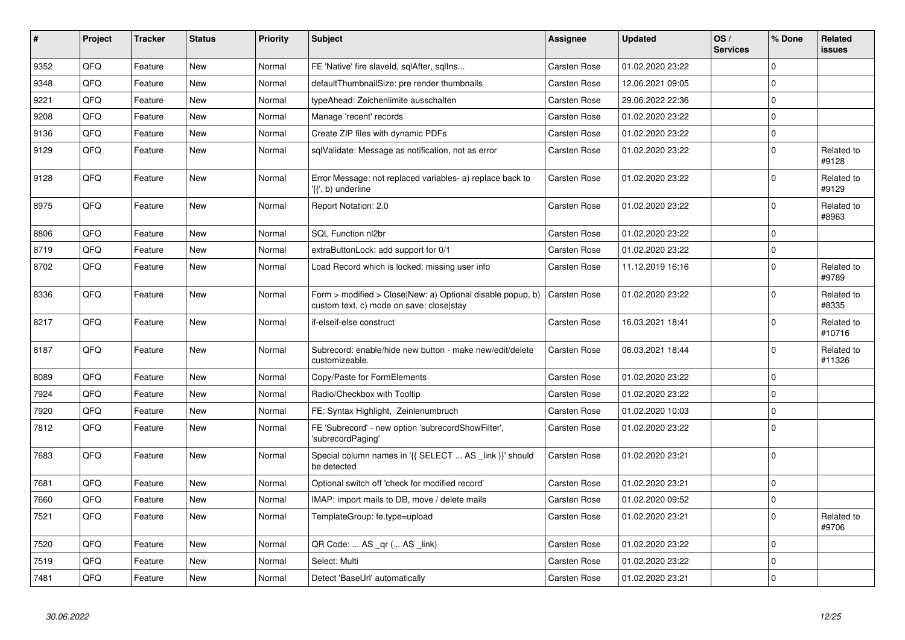| #    | Project | <b>Tracker</b> | <b>Status</b> | <b>Priority</b> | <b>Subject</b>                                                                                         | Assignee     | <b>Updated</b>   | OS/<br><b>Services</b> | % Done              | <b>Related</b><br><b>issues</b> |
|------|---------|----------------|---------------|-----------------|--------------------------------------------------------------------------------------------------------|--------------|------------------|------------------------|---------------------|---------------------------------|
| 9352 | QFQ     | Feature        | <b>New</b>    | Normal          | FE 'Native' fire slaveld, sqlAfter, sqllns                                                             | Carsten Rose | 01.02.2020 23:22 |                        | $\mathbf 0$         |                                 |
| 9348 | QFQ     | Feature        | <b>New</b>    | Normal          | defaultThumbnailSize: pre render thumbnails                                                            | Carsten Rose | 12.06.2021 09:05 |                        | $\Omega$            |                                 |
| 9221 | QFQ     | Feature        | <b>New</b>    | Normal          | typeAhead: Zeichenlimite ausschalten                                                                   | Carsten Rose | 29.06.2022 22:36 |                        | $\mathsf 0$         |                                 |
| 9208 | QFQ     | Feature        | <b>New</b>    | Normal          | Manage 'recent' records                                                                                | Carsten Rose | 01.02.2020 23:22 |                        | $\mathbf 0$         |                                 |
| 9136 | QFQ     | Feature        | New           | Normal          | Create ZIP files with dynamic PDFs                                                                     | Carsten Rose | 01.02.2020 23:22 |                        | $\mathbf 0$         |                                 |
| 9129 | QFQ     | Feature        | New           | Normal          | sqlValidate: Message as notification, not as error                                                     | Carsten Rose | 01.02.2020 23:22 |                        | $\mathbf 0$         | Related to<br>#9128             |
| 9128 | QFQ     | Feature        | New           | Normal          | Error Message: not replaced variables- a) replace back to<br>'{{', b) underline                        | Carsten Rose | 01.02.2020 23:22 |                        | $\mathbf 0$         | Related to<br>#9129             |
| 8975 | QFQ     | Feature        | <b>New</b>    | Normal          | Report Notation: 2.0                                                                                   | Carsten Rose | 01.02.2020 23:22 |                        | $\mathbf 0$         | Related to<br>#8963             |
| 8806 | QFQ     | Feature        | <b>New</b>    | Normal          | SQL Function nl2br                                                                                     | Carsten Rose | 01.02.2020 23:22 |                        | $\mathbf 0$         |                                 |
| 8719 | QFQ     | Feature        | <b>New</b>    | Normal          | extraButtonLock: add support for 0/1                                                                   | Carsten Rose | 01.02.2020 23:22 |                        | $\pmb{0}$           |                                 |
| 8702 | QFQ     | Feature        | <b>New</b>    | Normal          | Load Record which is locked: missing user info                                                         | Carsten Rose | 11.12.2019 16:16 |                        | $\mathbf 0$         | Related to<br>#9789             |
| 8336 | QFQ     | Feature        | <b>New</b>    | Normal          | Form > modified > Close New: a) Optional disable popup, b)<br>custom text, c) mode on save: close stay | Carsten Rose | 01.02.2020 23:22 |                        | $\mathbf 0$         | Related to<br>#8335             |
| 8217 | QFQ     | Feature        | <b>New</b>    | Normal          | if-elseif-else construct                                                                               | Carsten Rose | 16.03.2021 18:41 |                        | $\mathbf 0$         | Related to<br>#10716            |
| 8187 | QFQ     | Feature        | <b>New</b>    | Normal          | Subrecord: enable/hide new button - make new/edit/delete<br>customizeable.                             | Carsten Rose | 06.03.2021 18:44 |                        | $\Omega$            | Related to<br>#11326            |
| 8089 | QFQ     | Feature        | <b>New</b>    | Normal          | Copy/Paste for FormElements                                                                            | Carsten Rose | 01.02.2020 23:22 |                        | $\pmb{0}$           |                                 |
| 7924 | QFQ     | Feature        | <b>New</b>    | Normal          | Radio/Checkbox with Tooltip                                                                            | Carsten Rose | 01.02.2020 23:22 |                        | $\mathsf 0$         |                                 |
| 7920 | QFQ     | Feature        | <b>New</b>    | Normal          | FE: Syntax Highlight, Zeinlenumbruch                                                                   | Carsten Rose | 01.02.2020 10:03 |                        | $\mathsf{O}\xspace$ |                                 |
| 7812 | QFQ     | Feature        | <b>New</b>    | Normal          | FE 'Subrecord' - new option 'subrecordShowFilter',<br>'subrecordPaging'                                | Carsten Rose | 01.02.2020 23:22 |                        | $\mathbf 0$         |                                 |
| 7683 | QFQ     | Feature        | New           | Normal          | Special column names in '{{ SELECT  AS _link }}' should<br>be detected                                 | Carsten Rose | 01.02.2020 23:21 |                        | $\Omega$            |                                 |
| 7681 | QFQ     | Feature        | <b>New</b>    | Normal          | Optional switch off 'check for modified record'                                                        | Carsten Rose | 01.02.2020 23:21 |                        | $\pmb{0}$           |                                 |
| 7660 | QFQ     | Feature        | <b>New</b>    | Normal          | IMAP: import mails to DB, move / delete mails                                                          | Carsten Rose | 01.02.2020 09:52 |                        | $\mathbf 0$         |                                 |
| 7521 | QFQ     | Feature        | New           | Normal          | TemplateGroup: fe.type=upload                                                                          | Carsten Rose | 01.02.2020 23:21 |                        | $\mathbf 0$         | Related to<br>#9706             |
| 7520 | QFQ     | Feature        | <b>New</b>    | Normal          | QR Code:  AS _qr ( AS _link)                                                                           | Carsten Rose | 01.02.2020 23:22 |                        | $\mathbf 0$         |                                 |
| 7519 | QFQ     | Feature        | <b>New</b>    | Normal          | Select: Multi                                                                                          | Carsten Rose | 01.02.2020 23:22 |                        | $\mathbf 0$         |                                 |
| 7481 | QFQ     | Feature        | New           | Normal          | Detect 'BaseUrl' automatically                                                                         | Carsten Rose | 01.02.2020 23:21 |                        | $\pmb{0}$           |                                 |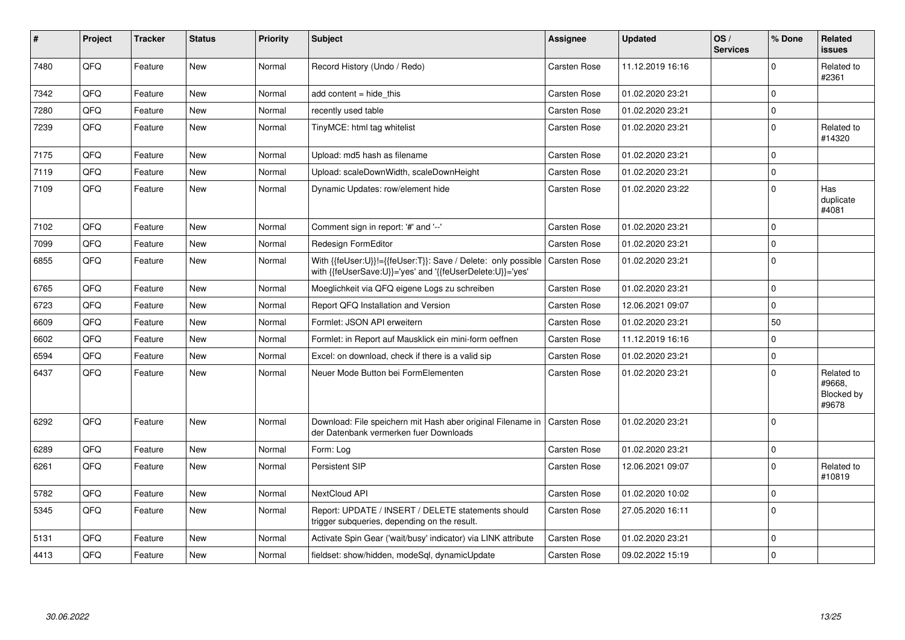| $\vert$ # | Project | <b>Tracker</b> | <b>Status</b> | <b>Priority</b> | <b>Subject</b>                                                                                                             | Assignee            | <b>Updated</b>   | OS/<br><b>Services</b> | % Done       | Related<br><b>issues</b>                    |
|-----------|---------|----------------|---------------|-----------------|----------------------------------------------------------------------------------------------------------------------------|---------------------|------------------|------------------------|--------------|---------------------------------------------|
| 7480      | QFQ     | Feature        | <b>New</b>    | Normal          | Record History (Undo / Redo)                                                                                               | Carsten Rose        | 11.12.2019 16:16 |                        | $\Omega$     | Related to<br>#2361                         |
| 7342      | QFQ     | Feature        | <b>New</b>    | Normal          | add content = hide this                                                                                                    | Carsten Rose        | 01.02.2020 23:21 |                        | $\Omega$     |                                             |
| 7280      | QFQ     | Feature        | <b>New</b>    | Normal          | recently used table                                                                                                        | Carsten Rose        | 01.02.2020 23:21 |                        | $\mathbf{0}$ |                                             |
| 7239      | QFQ     | Feature        | <b>New</b>    | Normal          | TinyMCE: html tag whitelist                                                                                                | Carsten Rose        | 01.02.2020 23:21 |                        | $\Omega$     | Related to<br>#14320                        |
| 7175      | QFQ     | Feature        | <b>New</b>    | Normal          | Upload: md5 hash as filename                                                                                               | Carsten Rose        | 01.02.2020 23:21 |                        | $\Omega$     |                                             |
| 7119      | QFQ     | Feature        | <b>New</b>    | Normal          | Upload: scaleDownWidth, scaleDownHeight                                                                                    | <b>Carsten Rose</b> | 01.02.2020 23:21 |                        | $\Omega$     |                                             |
| 7109      | QFQ     | Feature        | <b>New</b>    | Normal          | Dynamic Updates: row/element hide                                                                                          | Carsten Rose        | 01.02.2020 23:22 |                        | $\Omega$     | Has<br>duplicate<br>#4081                   |
| 7102      | QFQ     | Feature        | <b>New</b>    | Normal          | Comment sign in report: '#' and '--'                                                                                       | Carsten Rose        | 01.02.2020 23:21 |                        | $\Omega$     |                                             |
| 7099      | QFQ     | Feature        | <b>New</b>    | Normal          | Redesign FormEditor                                                                                                        | <b>Carsten Rose</b> | 01.02.2020 23:21 |                        | $\mathbf 0$  |                                             |
| 6855      | QFQ     | Feature        | <b>New</b>    | Normal          | With {{feUser:U}}!={{feUser:T}}: Save / Delete: only possible<br>with {{feUserSave:U}}='yes' and '{{feUserDelete:U}}='yes' | <b>Carsten Rose</b> | 01.02.2020 23:21 |                        | $\mathbf{0}$ |                                             |
| 6765      | QFQ     | Feature        | <b>New</b>    | Normal          | Moeglichkeit via QFQ eigene Logs zu schreiben                                                                              | Carsten Rose        | 01.02.2020 23:21 |                        | $\mathbf 0$  |                                             |
| 6723      | QFQ     | Feature        | <b>New</b>    | Normal          | Report QFQ Installation and Version                                                                                        | Carsten Rose        | 12.06.2021 09:07 |                        | $\Omega$     |                                             |
| 6609      | QFQ     | Feature        | <b>New</b>    | Normal          | Formlet: JSON API erweitern                                                                                                | <b>Carsten Rose</b> | 01.02.2020 23:21 |                        | 50           |                                             |
| 6602      | QFQ     | Feature        | <b>New</b>    | Normal          | Formlet: in Report auf Mausklick ein mini-form oeffnen                                                                     | Carsten Rose        | 11.12.2019 16:16 |                        | $\Omega$     |                                             |
| 6594      | QFQ     | Feature        | <b>New</b>    | Normal          | Excel: on download, check if there is a valid sip                                                                          | Carsten Rose        | 01.02.2020 23:21 |                        | $\Omega$     |                                             |
| 6437      | QFQ     | Feature        | New           | Normal          | Neuer Mode Button bei FormElementen                                                                                        | Carsten Rose        | 01.02.2020 23:21 |                        | $\Omega$     | Related to<br>#9668.<br>Blocked by<br>#9678 |
| 6292      | QFQ     | Feature        | <b>New</b>    | Normal          | Download: File speichern mit Hash aber original Filename in<br>der Datenbank vermerken fuer Downloads                      | l Carsten Rose      | 01.02.2020 23:21 |                        | $\mathbf{0}$ |                                             |
| 6289      | QFQ     | Feature        | <b>New</b>    | Normal          | Form: Log                                                                                                                  | Carsten Rose        | 01.02.2020 23:21 |                        | $\mathbf 0$  |                                             |
| 6261      | QFQ     | Feature        | <b>New</b>    | Normal          | Persistent SIP                                                                                                             | Carsten Rose        | 12.06.2021 09:07 |                        | $\Omega$     | Related to<br>#10819                        |
| 5782      | QFQ     | Feature        | <b>New</b>    | Normal          | NextCloud API                                                                                                              | Carsten Rose        | 01.02.2020 10:02 |                        | $\mathbf 0$  |                                             |
| 5345      | QFQ     | Feature        | <b>New</b>    | Normal          | Report: UPDATE / INSERT / DELETE statements should<br>trigger subqueries, depending on the result.                         | <b>Carsten Rose</b> | 27.05.2020 16:11 |                        | $\Omega$     |                                             |
| 5131      | QFQ     | Feature        | <b>New</b>    | Normal          | Activate Spin Gear ('wait/busy' indicator) via LINK attribute                                                              | Carsten Rose        | 01.02.2020 23:21 |                        | $\mathbf 0$  |                                             |
| 4413      | QFQ     | Feature        | <b>New</b>    | Normal          | fieldset: show/hidden, modeSql, dynamicUpdate                                                                              | <b>Carsten Rose</b> | 09.02.2022 15:19 |                        | $\mathbf 0$  |                                             |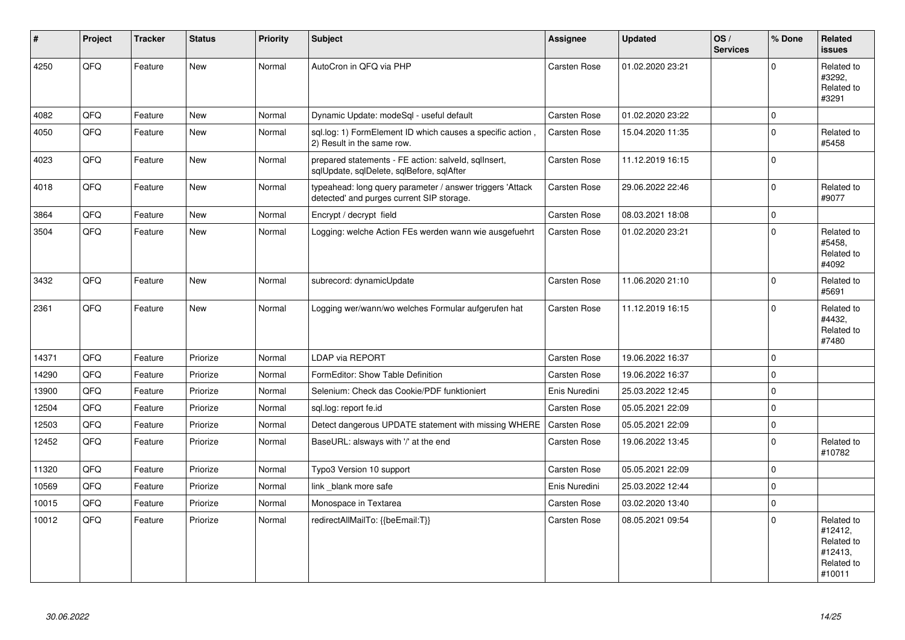| #     | Project | <b>Tracker</b> | <b>Status</b> | <b>Priority</b> | <b>Subject</b>                                                                                         | Assignee            | <b>Updated</b>   | OS/<br><b>Services</b> | % Done      | Related<br><b>issues</b>                                               |
|-------|---------|----------------|---------------|-----------------|--------------------------------------------------------------------------------------------------------|---------------------|------------------|------------------------|-------------|------------------------------------------------------------------------|
| 4250  | QFQ     | Feature        | <b>New</b>    | Normal          | AutoCron in QFQ via PHP                                                                                | Carsten Rose        | 01.02.2020 23:21 |                        | $\Omega$    | Related to<br>#3292,<br>Related to<br>#3291                            |
| 4082  | QFQ     | Feature        | <b>New</b>    | Normal          | Dynamic Update: modeSql - useful default                                                               | Carsten Rose        | 01.02.2020 23:22 |                        | $\Omega$    |                                                                        |
| 4050  | QFQ     | Feature        | <b>New</b>    | Normal          | sql.log: 1) FormElement ID which causes a specific action,<br>2) Result in the same row.               | Carsten Rose        | 15.04.2020 11:35 |                        | $\mathbf 0$ | Related to<br>#5458                                                    |
| 4023  | QFQ     | Feature        | <b>New</b>    | Normal          | prepared statements - FE action: salveld, sglInsert,<br>sqlUpdate, sqlDelete, sqlBefore, sqlAfter      | Carsten Rose        | 11.12.2019 16:15 |                        | $\Omega$    |                                                                        |
| 4018  | QFQ     | Feature        | <b>New</b>    | Normal          | typeahead: long query parameter / answer triggers 'Attack<br>detected' and purges current SIP storage. | Carsten Rose        | 29.06.2022 22:46 |                        | $\mathbf 0$ | Related to<br>#9077                                                    |
| 3864  | QFQ     | Feature        | <b>New</b>    | Normal          | Encrypt / decrypt field                                                                                | Carsten Rose        | 08.03.2021 18:08 |                        | $\Omega$    |                                                                        |
| 3504  | QFQ     | Feature        | New           | Normal          | Logging: welche Action FEs werden wann wie ausgefuehrt                                                 | Carsten Rose        | 01.02.2020 23:21 |                        | $\mathbf 0$ | Related to<br>#5458,<br>Related to<br>#4092                            |
| 3432  | QFQ     | Feature        | <b>New</b>    | Normal          | subrecord: dynamicUpdate                                                                               | Carsten Rose        | 11.06.2020 21:10 |                        | $\Omega$    | Related to<br>#5691                                                    |
| 2361  | QFQ     | Feature        | <b>New</b>    | Normal          | Logging wer/wann/wo welches Formular aufgerufen hat                                                    | Carsten Rose        | 11.12.2019 16:15 |                        | $\mathbf 0$ | Related to<br>#4432,<br>Related to<br>#7480                            |
| 14371 | QFQ     | Feature        | Priorize      | Normal          | <b>LDAP via REPORT</b>                                                                                 | Carsten Rose        | 19.06.2022 16:37 |                        | $\mathbf 0$ |                                                                        |
| 14290 | QFQ     | Feature        | Priorize      | Normal          | FormEditor: Show Table Definition                                                                      | Carsten Rose        | 19.06.2022 16:37 |                        | $\mathbf 0$ |                                                                        |
| 13900 | QFQ     | Feature        | Priorize      | Normal          | Selenium: Check das Cookie/PDF funktioniert                                                            | Enis Nuredini       | 25.03.2022 12:45 |                        | $\Omega$    |                                                                        |
| 12504 | QFQ     | Feature        | Priorize      | Normal          | sql.log: report fe.id                                                                                  | Carsten Rose        | 05.05.2021 22:09 |                        | $\Omega$    |                                                                        |
| 12503 | QFQ     | Feature        | Priorize      | Normal          | Detect dangerous UPDATE statement with missing WHERE                                                   | <b>Carsten Rose</b> | 05.05.2021 22:09 |                        | $\mathbf 0$ |                                                                        |
| 12452 | QFQ     | Feature        | Priorize      | Normal          | BaseURL: alsways with '/' at the end                                                                   | Carsten Rose        | 19.06.2022 13:45 |                        | $\mathbf 0$ | Related to<br>#10782                                                   |
| 11320 | QFQ     | Feature        | Priorize      | Normal          | Typo3 Version 10 support                                                                               | Carsten Rose        | 05.05.2021 22:09 |                        | $\mathbf 0$ |                                                                        |
| 10569 | QFQ     | Feature        | Priorize      | Normal          | link blank more safe                                                                                   | Enis Nuredini       | 25.03.2022 12:44 |                        | $\mathbf 0$ |                                                                        |
| 10015 | QFQ     | Feature        | Priorize      | Normal          | Monospace in Textarea                                                                                  | Carsten Rose        | 03.02.2020 13:40 |                        | $\mathbf 0$ |                                                                        |
| 10012 | QFQ     | Feature        | Priorize      | Normal          | redirectAllMailTo: {{beEmail:T}}                                                                       | Carsten Rose        | 08.05.2021 09:54 |                        | $\Omega$    | Related to<br>#12412,<br>Related to<br>#12413,<br>Related to<br>#10011 |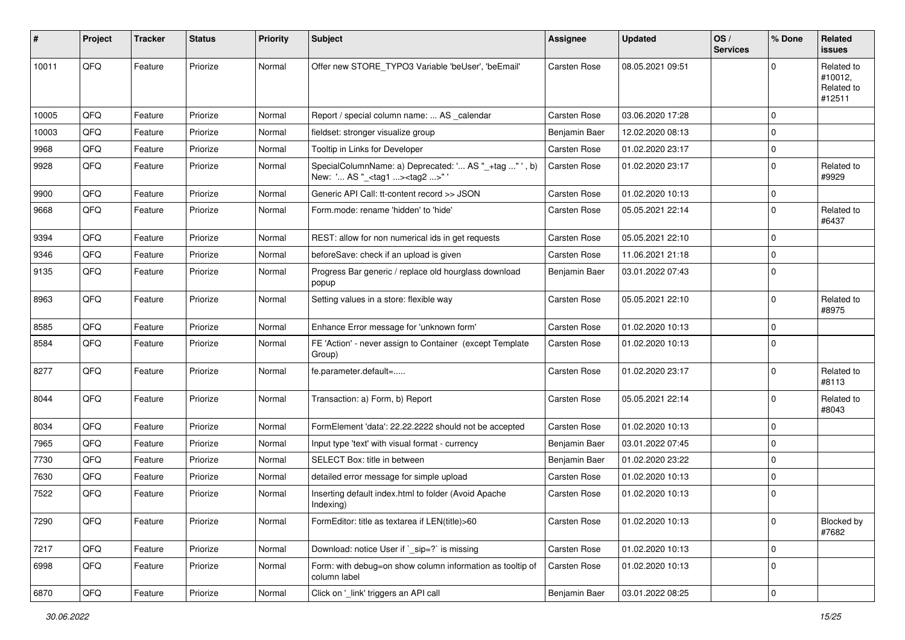| #     | Project | <b>Tracker</b> | <b>Status</b> | <b>Priority</b> | <b>Subject</b>                                                                                    | Assignee      | <b>Updated</b>   | OS/<br><b>Services</b> | % Done         | Related<br>issues                             |
|-------|---------|----------------|---------------|-----------------|---------------------------------------------------------------------------------------------------|---------------|------------------|------------------------|----------------|-----------------------------------------------|
| 10011 | QFQ     | Feature        | Priorize      | Normal          | Offer new STORE TYPO3 Variable 'beUser', 'beEmail'                                                | Carsten Rose  | 08.05.2021 09:51 |                        | $\Omega$       | Related to<br>#10012,<br>Related to<br>#12511 |
| 10005 | QFQ     | Feature        | Priorize      | Normal          | Report / special column name:  AS calendar                                                        | Carsten Rose  | 03.06.2020 17:28 |                        | $\mathbf 0$    |                                               |
| 10003 | QFQ     | Feature        | Priorize      | Normal          | fieldset: stronger visualize group                                                                | Benjamin Baer | 12.02.2020 08:13 |                        | 0              |                                               |
| 9968  | QFQ     | Feature        | Priorize      | Normal          | Tooltip in Links for Developer                                                                    | Carsten Rose  | 01.02.2020 23:17 |                        | 0              |                                               |
| 9928  | QFQ     | Feature        | Priorize      | Normal          | SpecialColumnName: a) Deprecated: ' AS "_+tag " ', b)<br>New: ' AS "_ <tag1><tag2>"</tag2></tag1> | Carsten Rose  | 01.02.2020 23:17 |                        | $\mathbf 0$    | Related to<br>#9929                           |
| 9900  | QFQ     | Feature        | Priorize      | Normal          | Generic API Call: tt-content record >> JSON                                                       | Carsten Rose  | 01.02.2020 10:13 |                        | 0              |                                               |
| 9668  | QFQ     | Feature        | Priorize      | Normal          | Form.mode: rename 'hidden' to 'hide'                                                              | Carsten Rose  | 05.05.2021 22:14 |                        | $\mathbf 0$    | Related to<br>#6437                           |
| 9394  | QFQ     | Feature        | Priorize      | Normal          | REST: allow for non numerical ids in get requests                                                 | Carsten Rose  | 05.05.2021 22:10 |                        | $\mathbf 0$    |                                               |
| 9346  | QFQ     | Feature        | Priorize      | Normal          | beforeSave: check if an upload is given                                                           | Carsten Rose  | 11.06.2021 21:18 |                        | $\mathbf 0$    |                                               |
| 9135  | QFQ     | Feature        | Priorize      | Normal          | Progress Bar generic / replace old hourglass download<br>popup                                    | Benjamin Baer | 03.01.2022 07:43 |                        | 0              |                                               |
| 8963  | QFQ     | Feature        | Priorize      | Normal          | Setting values in a store: flexible way                                                           | Carsten Rose  | 05.05.2021 22:10 |                        | 0              | Related to<br>#8975                           |
| 8585  | QFQ     | Feature        | Priorize      | Normal          | Enhance Error message for 'unknown form'                                                          | Carsten Rose  | 01.02.2020 10:13 |                        | $\mathbf 0$    |                                               |
| 8584  | QFQ     | Feature        | Priorize      | Normal          | FE 'Action' - never assign to Container (except Template<br>Group)                                | Carsten Rose  | 01.02.2020 10:13 |                        | $\mathbf 0$    |                                               |
| 8277  | QFQ     | Feature        | Priorize      | Normal          | fe.parameter.default=                                                                             | Carsten Rose  | 01.02.2020 23:17 |                        | $\Omega$       | Related to<br>#8113                           |
| 8044  | QFQ     | Feature        | Priorize      | Normal          | Transaction: a) Form, b) Report                                                                   | Carsten Rose  | 05.05.2021 22:14 |                        | $\mathbf 0$    | Related to<br>#8043                           |
| 8034  | QFQ     | Feature        | Priorize      | Normal          | FormElement 'data': 22.22.2222 should not be accepted                                             | Carsten Rose  | 01.02.2020 10:13 |                        | $\mathbf 0$    |                                               |
| 7965  | QFQ     | Feature        | Priorize      | Normal          | Input type 'text' with visual format - currency                                                   | Benjamin Baer | 03.01.2022 07:45 |                        | $\mathbf 0$    |                                               |
| 7730  | QFQ     | Feature        | Priorize      | Normal          | SELECT Box: title in between                                                                      | Benjamin Baer | 01.02.2020 23:22 |                        | $\Omega$       |                                               |
| 7630  | QFQ     | Feature        | Priorize      | Normal          | detailed error message for simple upload                                                          | Carsten Rose  | 01.02.2020 10:13 |                        | 0              |                                               |
| 7522  | QFQ     | Feature        | Priorize      | Normal          | Inserting default index.html to folder (Avoid Apache<br>Indexing)                                 | Carsten Rose  | 01.02.2020 10:13 |                        | 0              |                                               |
| 7290  | QFQ     | Feature        | Priorize      | Normal          | FormEditor: title as textarea if LEN(title)>60                                                    | Carsten Rose  | 01.02.2020 10:13 |                        | $\overline{0}$ | Blocked by<br>#7682                           |
| 7217  | QFQ     | Feature        | Priorize      | Normal          | Download: notice User if `_sip=?` is missing                                                      | Carsten Rose  | 01.02.2020 10:13 |                        | $\mathbf 0$    |                                               |
| 6998  | QFQ     | Feature        | Priorize      | Normal          | Form: with debug=on show column information as tooltip of<br>column label                         | Carsten Rose  | 01.02.2020 10:13 |                        | 0              |                                               |
| 6870  | QFG     | Feature        | Priorize      | Normal          | Click on '_link' triggers an API call                                                             | Benjamin Baer | 03.01.2022 08:25 |                        | 0              |                                               |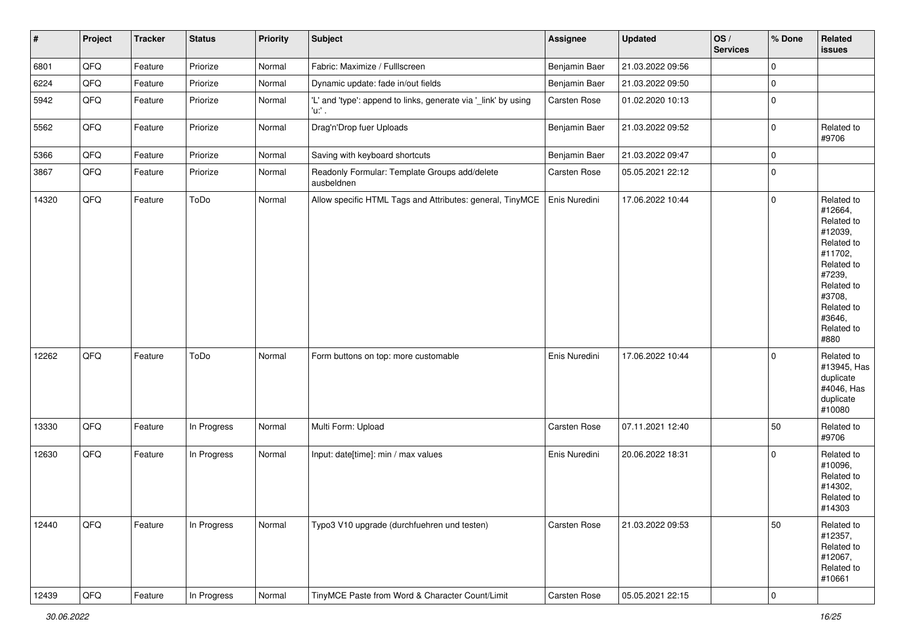| $\vert$ # | Project | <b>Tracker</b> | <b>Status</b> | <b>Priority</b> | <b>Subject</b>                                                           | Assignee      | <b>Updated</b>   | OS/<br><b>Services</b> | % Done              | Related<br>issues                                                                                                                                                     |
|-----------|---------|----------------|---------------|-----------------|--------------------------------------------------------------------------|---------------|------------------|------------------------|---------------------|-----------------------------------------------------------------------------------------------------------------------------------------------------------------------|
| 6801      | QFQ     | Feature        | Priorize      | Normal          | Fabric: Maximize / Fulllscreen                                           | Benjamin Baer | 21.03.2022 09:56 |                        | $\mathbf 0$         |                                                                                                                                                                       |
| 6224      | QFQ     | Feature        | Priorize      | Normal          | Dynamic update: fade in/out fields                                       | Benjamin Baer | 21.03.2022 09:50 |                        | $\mathbf 0$         |                                                                                                                                                                       |
| 5942      | QFQ     | Feature        | Priorize      | Normal          | 'L' and 'type': append to links, generate via '_link' by using<br>'u:' . | Carsten Rose  | 01.02.2020 10:13 |                        | $\mathbf 0$         |                                                                                                                                                                       |
| 5562      | QFQ     | Feature        | Priorize      | Normal          | Drag'n'Drop fuer Uploads                                                 | Benjamin Baer | 21.03.2022 09:52 |                        | $\mathbf 0$         | Related to<br>#9706                                                                                                                                                   |
| 5366      | QFQ     | Feature        | Priorize      | Normal          | Saving with keyboard shortcuts                                           | Benjamin Baer | 21.03.2022 09:47 |                        | $\mathsf{O}\xspace$ |                                                                                                                                                                       |
| 3867      | QFQ     | Feature        | Priorize      | Normal          | Readonly Formular: Template Groups add/delete<br>ausbeldnen              | Carsten Rose  | 05.05.2021 22:12 |                        | $\mathbf 0$         |                                                                                                                                                                       |
| 14320     | QFQ     | Feature        | ToDo          | Normal          | Allow specific HTML Tags and Attributes: general, TinyMCE                | Enis Nuredini | 17.06.2022 10:44 |                        | $\mathbf 0$         | Related to<br>#12664,<br>Related to<br>#12039,<br>Related to<br>#11702,<br>Related to<br>#7239,<br>Related to<br>#3708,<br>Related to<br>#3646,<br>Related to<br>#880 |
| 12262     | QFQ     | Feature        | ToDo          | Normal          | Form buttons on top: more customable                                     | Enis Nuredini | 17.06.2022 10:44 |                        | $\mathbf 0$         | Related to<br>#13945, Has<br>duplicate<br>#4046, Has<br>duplicate<br>#10080                                                                                           |
| 13330     | QFQ     | Feature        | In Progress   | Normal          | Multi Form: Upload                                                       | Carsten Rose  | 07.11.2021 12:40 |                        | 50                  | Related to<br>#9706                                                                                                                                                   |
| 12630     | QFQ     | Feature        | In Progress   | Normal          | Input: date[time]: min / max values                                      | Enis Nuredini | 20.06.2022 18:31 |                        | $\mathbf 0$         | Related to<br>#10096,<br>Related to<br>#14302,<br>Related to<br>#14303                                                                                                |
| 12440     | QFQ     | Feature        | In Progress   | Normal          | Typo3 V10 upgrade (durchfuehren und testen)                              | Carsten Rose  | 21.03.2022 09:53 |                        | 50                  | Related to<br>#12357,<br>Related to<br>#12067,<br>Related to<br>#10661                                                                                                |
| 12439     | QFQ     | Feature        | In Progress   | Normal          | TinyMCE Paste from Word & Character Count/Limit                          | Carsten Rose  | 05.05.2021 22:15 |                        | $ 0\rangle$         |                                                                                                                                                                       |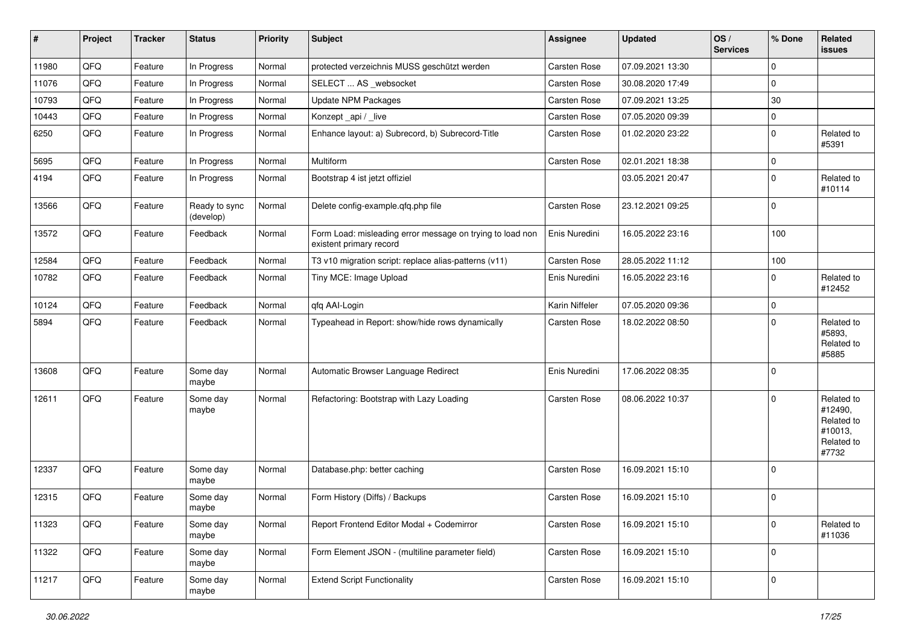| $\sharp$ | Project | <b>Tracker</b> | <b>Status</b>              | <b>Priority</b> | <b>Subject</b>                                                                       | <b>Assignee</b> | <b>Updated</b>   | OS/<br><b>Services</b> | % Done      | Related<br>issues                                                     |
|----------|---------|----------------|----------------------------|-----------------|--------------------------------------------------------------------------------------|-----------------|------------------|------------------------|-------------|-----------------------------------------------------------------------|
| 11980    | QFQ     | Feature        | In Progress                | Normal          | protected verzeichnis MUSS geschützt werden                                          | Carsten Rose    | 07.09.2021 13:30 |                        | $\mathbf 0$ |                                                                       |
| 11076    | QFQ     | Feature        | In Progress                | Normal          | SELECT  AS _websocket                                                                | Carsten Rose    | 30.08.2020 17:49 |                        | 0           |                                                                       |
| 10793    | QFQ     | Feature        | In Progress                | Normal          | Update NPM Packages                                                                  | Carsten Rose    | 07.09.2021 13:25 |                        | 30          |                                                                       |
| 10443    | QFQ     | Feature        | In Progress                | Normal          | Konzept_api / _live                                                                  | Carsten Rose    | 07.05.2020 09:39 |                        | $\mathbf 0$ |                                                                       |
| 6250     | QFQ     | Feature        | In Progress                | Normal          | Enhance layout: a) Subrecord, b) Subrecord-Title                                     | Carsten Rose    | 01.02.2020 23:22 |                        | $\mathbf 0$ | Related to<br>#5391                                                   |
| 5695     | QFQ     | Feature        | In Progress                | Normal          | Multiform                                                                            | Carsten Rose    | 02.01.2021 18:38 |                        | $\mathbf 0$ |                                                                       |
| 4194     | QFQ     | Feature        | In Progress                | Normal          | Bootstrap 4 ist jetzt offiziel                                                       |                 | 03.05.2021 20:47 |                        | $\Omega$    | Related to<br>#10114                                                  |
| 13566    | QFQ     | Feature        | Ready to sync<br>(develop) | Normal          | Delete config-example.qfq.php file                                                   | Carsten Rose    | 23.12.2021 09:25 |                        | $\mathbf 0$ |                                                                       |
| 13572    | QFQ     | Feature        | Feedback                   | Normal          | Form Load: misleading error message on trying to load non<br>existent primary record | Enis Nuredini   | 16.05.2022 23:16 |                        | 100         |                                                                       |
| 12584    | QFQ     | Feature        | Feedback                   | Normal          | T3 v10 migration script: replace alias-patterns (v11)                                | Carsten Rose    | 28.05.2022 11:12 |                        | 100         |                                                                       |
| 10782    | QFQ     | Feature        | Feedback                   | Normal          | Tiny MCE: Image Upload                                                               | Enis Nuredini   | 16.05.2022 23:16 |                        | $\Omega$    | Related to<br>#12452                                                  |
| 10124    | QFQ     | Feature        | Feedback                   | Normal          | qfq AAI-Login                                                                        | Karin Niffeler  | 07.05.2020 09:36 |                        | 0           |                                                                       |
| 5894     | QFQ     | Feature        | Feedback                   | Normal          | Typeahead in Report: show/hide rows dynamically                                      | Carsten Rose    | 18.02.2022 08:50 |                        | 0           | Related to<br>#5893,<br>Related to<br>#5885                           |
| 13608    | QFQ     | Feature        | Some day<br>maybe          | Normal          | Automatic Browser Language Redirect                                                  | Enis Nuredini   | 17.06.2022 08:35 |                        | $\mathbf 0$ |                                                                       |
| 12611    | QFQ     | Feature        | Some day<br>maybe          | Normal          | Refactoring: Bootstrap with Lazy Loading                                             | Carsten Rose    | 08.06.2022 10:37 |                        | $\Omega$    | Related to<br>#12490,<br>Related to<br>#10013,<br>Related to<br>#7732 |
| 12337    | QFQ     | Feature        | Some day<br>maybe          | Normal          | Database.php: better caching                                                         | Carsten Rose    | 16.09.2021 15:10 |                        | $\Omega$    |                                                                       |
| 12315    | QFQ     | Feature        | Some day<br>maybe          | Normal          | Form History (Diffs) / Backups                                                       | Carsten Rose    | 16.09.2021 15:10 |                        | $\mathbf 0$ |                                                                       |
| 11323    | QFQ     | Feature        | Some day<br>maybe          | Normal          | Report Frontend Editor Modal + Codemirror                                            | Carsten Rose    | 16.09.2021 15:10 |                        | 0           | Related to<br>#11036                                                  |
| 11322    | QFQ     | Feature        | Some day<br>maybe          | Normal          | Form Element JSON - (multiline parameter field)                                      | Carsten Rose    | 16.09.2021 15:10 |                        | 0           |                                                                       |
| 11217    | QFQ     | Feature        | Some day<br>maybe          | Normal          | <b>Extend Script Functionality</b>                                                   | Carsten Rose    | 16.09.2021 15:10 |                        | 0           |                                                                       |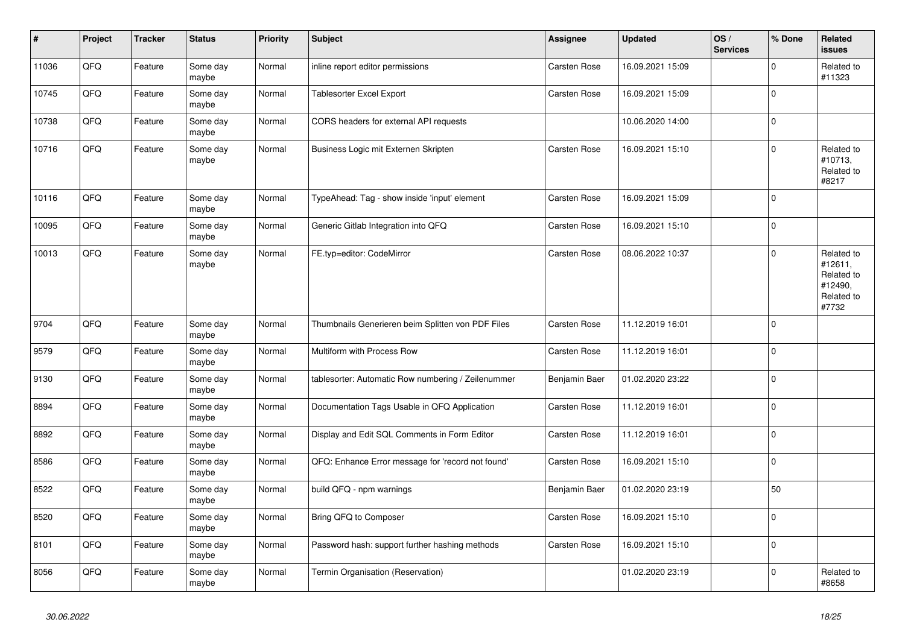| $\vert$ # | Project | <b>Tracker</b> | <b>Status</b>     | <b>Priority</b> | <b>Subject</b>                                     | <b>Assignee</b> | <b>Updated</b>   | OS/<br><b>Services</b> | % Done      | Related<br><b>issues</b>                                              |
|-----------|---------|----------------|-------------------|-----------------|----------------------------------------------------|-----------------|------------------|------------------------|-------------|-----------------------------------------------------------------------|
| 11036     | QFQ     | Feature        | Some day<br>maybe | Normal          | inline report editor permissions                   | Carsten Rose    | 16.09.2021 15:09 |                        | $\Omega$    | Related to<br>#11323                                                  |
| 10745     | QFQ     | Feature        | Some day<br>maybe | Normal          | <b>Tablesorter Excel Export</b>                    | Carsten Rose    | 16.09.2021 15:09 |                        | 0           |                                                                       |
| 10738     | QFQ     | Feature        | Some day<br>maybe | Normal          | CORS headers for external API requests             |                 | 10.06.2020 14:00 |                        | $\Omega$    |                                                                       |
| 10716     | QFQ     | Feature        | Some day<br>maybe | Normal          | Business Logic mit Externen Skripten               | Carsten Rose    | 16.09.2021 15:10 |                        | $\mathbf 0$ | Related to<br>#10713,<br>Related to<br>#8217                          |
| 10116     | QFQ     | Feature        | Some day<br>maybe | Normal          | TypeAhead: Tag - show inside 'input' element       | Carsten Rose    | 16.09.2021 15:09 |                        | $\mathbf 0$ |                                                                       |
| 10095     | QFQ     | Feature        | Some day<br>maybe | Normal          | Generic Gitlab Integration into QFQ                | Carsten Rose    | 16.09.2021 15:10 |                        | $\Omega$    |                                                                       |
| 10013     | QFQ     | Feature        | Some day<br>maybe | Normal          | FE.typ=editor: CodeMirror                          | Carsten Rose    | 08.06.2022 10:37 |                        | $\mathbf 0$ | Related to<br>#12611,<br>Related to<br>#12490,<br>Related to<br>#7732 |
| 9704      | QFQ     | Feature        | Some day<br>maybe | Normal          | Thumbnails Generieren beim Splitten von PDF Files  | Carsten Rose    | 11.12.2019 16:01 |                        | $\Omega$    |                                                                       |
| 9579      | QFQ     | Feature        | Some day<br>maybe | Normal          | Multiform with Process Row                         | Carsten Rose    | 11.12.2019 16:01 |                        | $\Omega$    |                                                                       |
| 9130      | QFQ     | Feature        | Some day<br>maybe | Normal          | tablesorter: Automatic Row numbering / Zeilenummer | Benjamin Baer   | 01.02.2020 23:22 |                        | $\Omega$    |                                                                       |
| 8894      | QFQ     | Feature        | Some day<br>maybe | Normal          | Documentation Tags Usable in QFQ Application       | Carsten Rose    | 11.12.2019 16:01 |                        | $\mathbf 0$ |                                                                       |
| 8892      | QFQ     | Feature        | Some day<br>maybe | Normal          | Display and Edit SQL Comments in Form Editor       | Carsten Rose    | 11.12.2019 16:01 |                        | $\pmb{0}$   |                                                                       |
| 8586      | QFQ     | Feature        | Some day<br>maybe | Normal          | QFQ: Enhance Error message for 'record not found'  | Carsten Rose    | 16.09.2021 15:10 |                        | 0           |                                                                       |
| 8522      | QFQ     | Feature        | Some day<br>maybe | Normal          | build QFQ - npm warnings                           | Benjamin Baer   | 01.02.2020 23:19 |                        | 50          |                                                                       |
| 8520      | QFQ     | Feature        | Some day<br>maybe | Normal          | Bring QFQ to Composer                              | Carsten Rose    | 16.09.2021 15:10 |                        | $\mathbf 0$ |                                                                       |
| 8101      | QFQ     | Feature        | Some day<br>maybe | Normal          | Password hash: support further hashing methods     | Carsten Rose    | 16.09.2021 15:10 |                        | $\pmb{0}$   |                                                                       |
| 8056      | QFQ     | Feature        | Some day<br>maybe | Normal          | Termin Organisation (Reservation)                  |                 | 01.02.2020 23:19 |                        | $\mathbf 0$ | Related to<br>#8658                                                   |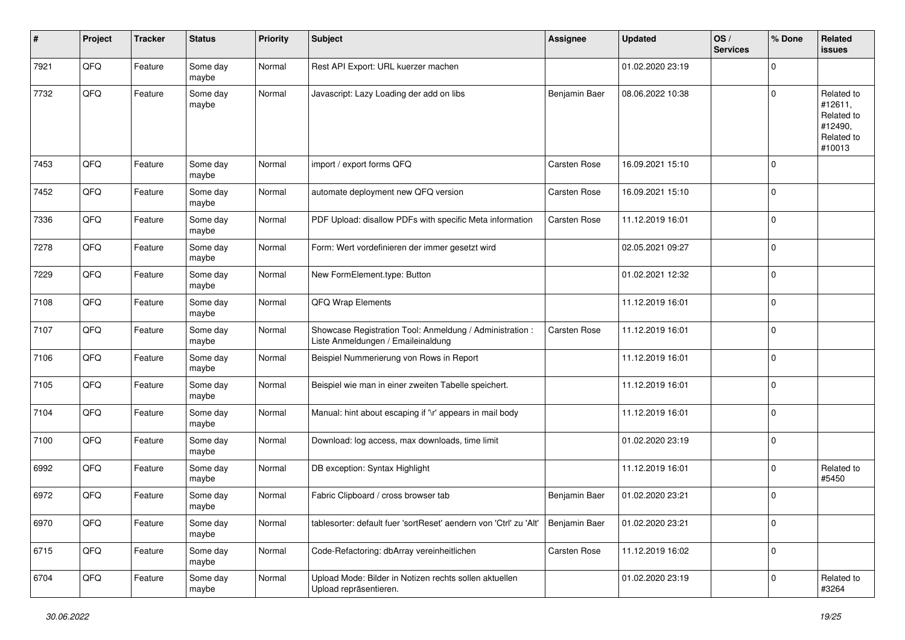| #    | Project | <b>Tracker</b> | <b>Status</b>     | <b>Priority</b> | <b>Subject</b>                                                                                 | Assignee      | <b>Updated</b>   | OS/<br><b>Services</b> | % Done      | Related<br><b>issues</b>                                               |
|------|---------|----------------|-------------------|-----------------|------------------------------------------------------------------------------------------------|---------------|------------------|------------------------|-------------|------------------------------------------------------------------------|
| 7921 | QFQ     | Feature        | Some day<br>maybe | Normal          | Rest API Export: URL kuerzer machen                                                            |               | 01.02.2020 23:19 |                        | $\Omega$    |                                                                        |
| 7732 | QFQ     | Feature        | Some day<br>maybe | Normal          | Javascript: Lazy Loading der add on libs                                                       | Benjamin Baer | 08.06.2022 10:38 |                        | $\Omega$    | Related to<br>#12611,<br>Related to<br>#12490,<br>Related to<br>#10013 |
| 7453 | QFQ     | Feature        | Some day<br>maybe | Normal          | import / export forms QFQ                                                                      | Carsten Rose  | 16.09.2021 15:10 |                        | $\Omega$    |                                                                        |
| 7452 | QFQ     | Feature        | Some day<br>maybe | Normal          | automate deployment new QFQ version                                                            | Carsten Rose  | 16.09.2021 15:10 |                        | $\Omega$    |                                                                        |
| 7336 | QFQ     | Feature        | Some day<br>maybe | Normal          | PDF Upload: disallow PDFs with specific Meta information                                       | Carsten Rose  | 11.12.2019 16:01 |                        | $\Omega$    |                                                                        |
| 7278 | QFQ     | Feature        | Some day<br>maybe | Normal          | Form: Wert vordefinieren der immer gesetzt wird                                                |               | 02.05.2021 09:27 |                        | $\mathbf 0$ |                                                                        |
| 7229 | QFQ     | Feature        | Some day<br>maybe | Normal          | New FormElement.type: Button                                                                   |               | 01.02.2021 12:32 |                        | $\mathbf 0$ |                                                                        |
| 7108 | QFQ     | Feature        | Some day<br>maybe | Normal          | QFQ Wrap Elements                                                                              |               | 11.12.2019 16:01 |                        | 0           |                                                                        |
| 7107 | QFQ     | Feature        | Some day<br>maybe | Normal          | Showcase Registration Tool: Anmeldung / Administration :<br>Liste Anmeldungen / Emaileinaldung | Carsten Rose  | 11.12.2019 16:01 |                        | $\Omega$    |                                                                        |
| 7106 | QFQ     | Feature        | Some day<br>maybe | Normal          | Beispiel Nummerierung von Rows in Report                                                       |               | 11.12.2019 16:01 |                        | $\Omega$    |                                                                        |
| 7105 | QFQ     | Feature        | Some day<br>maybe | Normal          | Beispiel wie man in einer zweiten Tabelle speichert.                                           |               | 11.12.2019 16:01 |                        | $\Omega$    |                                                                        |
| 7104 | QFQ     | Feature        | Some day<br>maybe | Normal          | Manual: hint about escaping if '\r' appears in mail body                                       |               | 11.12.2019 16:01 |                        | $\Omega$    |                                                                        |
| 7100 | QFQ     | Feature        | Some day<br>maybe | Normal          | Download: log access, max downloads, time limit                                                |               | 01.02.2020 23:19 |                        | $\mathbf 0$ |                                                                        |
| 6992 | QFQ     | Feature        | Some day<br>maybe | Normal          | DB exception: Syntax Highlight                                                                 |               | 11.12.2019 16:01 |                        | $\Omega$    | Related to<br>#5450                                                    |
| 6972 | QFQ     | Feature        | Some day<br>maybe | Normal          | Fabric Clipboard / cross browser tab                                                           | Benjamin Baer | 01.02.2020 23:21 |                        | $\mathbf 0$ |                                                                        |
| 6970 | QFQ     | Feature        | Some day<br>maybe | Normal          | tablesorter: default fuer 'sortReset' aendern von 'Ctrl' zu 'Alt'                              | Benjamin Baer | 01.02.2020 23:21 |                        | $\mathbf 0$ |                                                                        |
| 6715 | QFQ     | Feature        | Some day<br>maybe | Normal          | Code-Refactoring: dbArray vereinheitlichen                                                     | Carsten Rose  | 11.12.2019 16:02 |                        | $\mathbf 0$ |                                                                        |
| 6704 | QFG     | Feature        | Some day<br>maybe | Normal          | Upload Mode: Bilder in Notizen rechts sollen aktuellen<br>Upload repräsentieren.               |               | 01.02.2020 23:19 |                        | $\mathbf 0$ | Related to<br>#3264                                                    |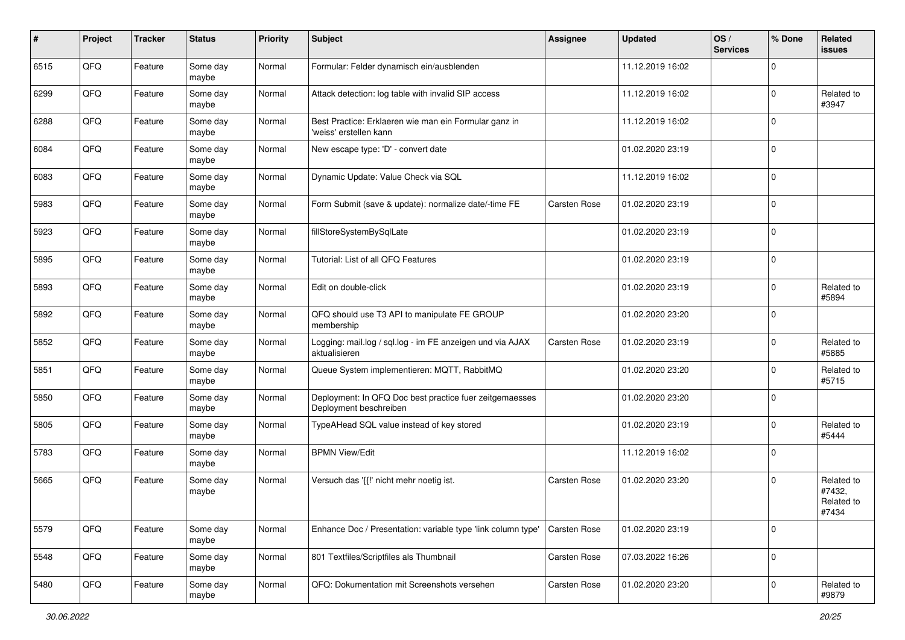| #    | Project | <b>Tracker</b> | <b>Status</b>     | <b>Priority</b> | Subject                                                                           | Assignee            | <b>Updated</b>   | OS/<br><b>Services</b> | % Done      | Related<br>issues                           |
|------|---------|----------------|-------------------|-----------------|-----------------------------------------------------------------------------------|---------------------|------------------|------------------------|-------------|---------------------------------------------|
| 6515 | QFQ     | Feature        | Some day<br>maybe | Normal          | Formular: Felder dynamisch ein/ausblenden                                         |                     | 11.12.2019 16:02 |                        | $\Omega$    |                                             |
| 6299 | QFQ     | Feature        | Some day<br>maybe | Normal          | Attack detection: log table with invalid SIP access                               |                     | 11.12.2019 16:02 |                        | $\Omega$    | Related to<br>#3947                         |
| 6288 | QFQ     | Feature        | Some day<br>maybe | Normal          | Best Practice: Erklaeren wie man ein Formular ganz in<br>'weiss' erstellen kann   |                     | 11.12.2019 16:02 |                        | $\Omega$    |                                             |
| 6084 | QFQ     | Feature        | Some day<br>maybe | Normal          | New escape type: 'D' - convert date                                               |                     | 01.02.2020 23:19 |                        | 0           |                                             |
| 6083 | QFQ     | Feature        | Some day<br>maybe | Normal          | Dynamic Update: Value Check via SQL                                               |                     | 11.12.2019 16:02 |                        | $\Omega$    |                                             |
| 5983 | QFQ     | Feature        | Some day<br>maybe | Normal          | Form Submit (save & update): normalize date/-time FE                              | Carsten Rose        | 01.02.2020 23:19 |                        | $\Omega$    |                                             |
| 5923 | QFQ     | Feature        | Some day<br>maybe | Normal          | fillStoreSystemBySqlLate                                                          |                     | 01.02.2020 23:19 |                        | $\Omega$    |                                             |
| 5895 | QFQ     | Feature        | Some day<br>maybe | Normal          | Tutorial: List of all QFQ Features                                                |                     | 01.02.2020 23:19 |                        | $\mathbf 0$ |                                             |
| 5893 | QFQ     | Feature        | Some day<br>maybe | Normal          | Edit on double-click                                                              |                     | 01.02.2020 23:19 |                        | $\Omega$    | Related to<br>#5894                         |
| 5892 | QFQ     | Feature        | Some day<br>maybe | Normal          | QFQ should use T3 API to manipulate FE GROUP<br>membership                        |                     | 01.02.2020 23:20 |                        | $\Omega$    |                                             |
| 5852 | QFQ     | Feature        | Some day<br>maybe | Normal          | Logging: mail.log / sql.log - im FE anzeigen und via AJAX<br>aktualisieren        | Carsten Rose        | 01.02.2020 23:19 |                        | $\Omega$    | Related to<br>#5885                         |
| 5851 | QFQ     | Feature        | Some day<br>maybe | Normal          | Queue System implementieren: MQTT, RabbitMQ                                       |                     | 01.02.2020 23:20 |                        | $\Omega$    | Related to<br>#5715                         |
| 5850 | QFQ     | Feature        | Some day<br>maybe | Normal          | Deployment: In QFQ Doc best practice fuer zeitgemaesses<br>Deployment beschreiben |                     | 01.02.2020 23:20 |                        | $\Omega$    |                                             |
| 5805 | QFQ     | Feature        | Some day<br>maybe | Normal          | TypeAHead SQL value instead of key stored                                         |                     | 01.02.2020 23:19 |                        | $\Omega$    | Related to<br>#5444                         |
| 5783 | QFQ     | Feature        | Some day<br>maybe | Normal          | <b>BPMN View/Edit</b>                                                             |                     | 11.12.2019 16:02 |                        | $\mathbf 0$ |                                             |
| 5665 | QFQ     | Feature        | Some day<br>maybe | Normal          | Versuch das '{{!' nicht mehr noetig ist.                                          | <b>Carsten Rose</b> | 01.02.2020 23:20 |                        | $\Omega$    | Related to<br>#7432,<br>Related to<br>#7434 |
| 5579 | QFQ     | Feature        | Some day<br>maybe | Normal          | Enhance Doc / Presentation: variable type 'link column type'                      | Carsten Rose        | 01.02.2020 23:19 |                        | $\mathbf 0$ |                                             |
| 5548 | QFQ     | Feature        | Some day<br>maybe | Normal          | 801 Textfiles/Scriptfiles als Thumbnail                                           | Carsten Rose        | 07.03.2022 16:26 |                        | $\mathbf 0$ |                                             |
| 5480 | QFQ     | Feature        | Some day<br>maybe | Normal          | QFQ: Dokumentation mit Screenshots versehen                                       | Carsten Rose        | 01.02.2020 23:20 |                        | 0           | Related to<br>#9879                         |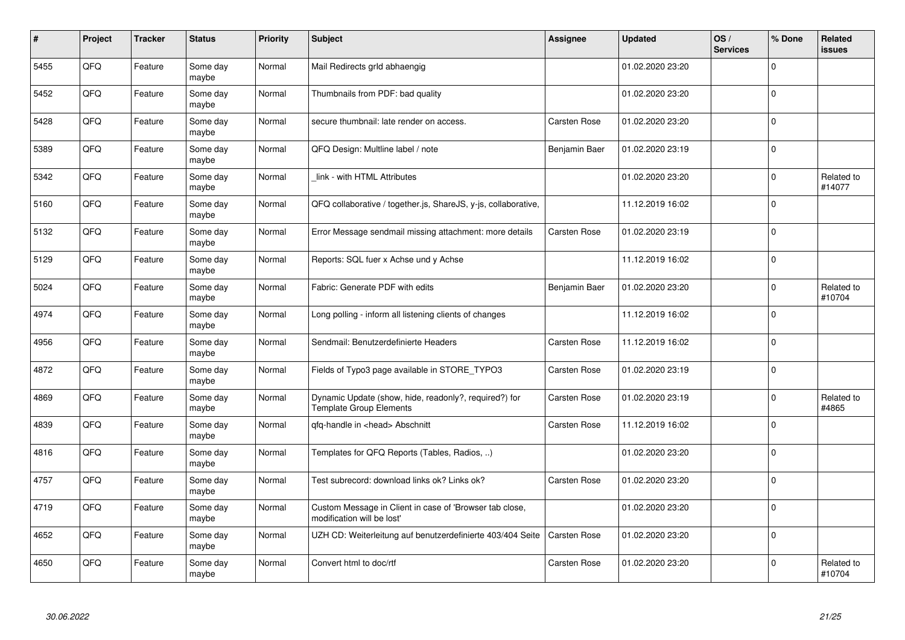| #    | Project | <b>Tracker</b> | <b>Status</b>     | <b>Priority</b> | <b>Subject</b>                                                                          | Assignee            | <b>Updated</b>   | OS/<br><b>Services</b> | % Done   | Related<br>issues    |
|------|---------|----------------|-------------------|-----------------|-----------------------------------------------------------------------------------------|---------------------|------------------|------------------------|----------|----------------------|
| 5455 | QFQ     | Feature        | Some day<br>maybe | Normal          | Mail Redirects grld abhaengig                                                           |                     | 01.02.2020 23:20 |                        | $\Omega$ |                      |
| 5452 | QFQ     | Feature        | Some day<br>maybe | Normal          | Thumbnails from PDF: bad quality                                                        |                     | 01.02.2020 23:20 |                        | $\Omega$ |                      |
| 5428 | QFQ     | Feature        | Some day<br>maybe | Normal          | secure thumbnail: late render on access.                                                | Carsten Rose        | 01.02.2020 23:20 |                        | 0        |                      |
| 5389 | QFQ     | Feature        | Some day<br>maybe | Normal          | QFQ Design: Multline label / note                                                       | Benjamin Baer       | 01.02.2020 23:19 |                        | $\Omega$ |                      |
| 5342 | QFQ     | Feature        | Some day<br>maybe | Normal          | link - with HTML Attributes                                                             |                     | 01.02.2020 23:20 |                        | $\Omega$ | Related to<br>#14077 |
| 5160 | QFQ     | Feature        | Some day<br>maybe | Normal          | QFQ collaborative / together.js, ShareJS, y-js, collaborative,                          |                     | 11.12.2019 16:02 |                        | $\Omega$ |                      |
| 5132 | QFQ     | Feature        | Some day<br>maybe | Normal          | Error Message sendmail missing attachment: more details                                 | Carsten Rose        | 01.02.2020 23:19 |                        | $\Omega$ |                      |
| 5129 | QFQ     | Feature        | Some day<br>maybe | Normal          | Reports: SQL fuer x Achse und y Achse                                                   |                     | 11.12.2019 16:02 |                        | $\Omega$ |                      |
| 5024 | QFQ     | Feature        | Some day<br>maybe | Normal          | Fabric: Generate PDF with edits                                                         | Benjamin Baer       | 01.02.2020 23:20 |                        | $\Omega$ | Related to<br>#10704 |
| 4974 | QFQ     | Feature        | Some day<br>maybe | Normal          | Long polling - inform all listening clients of changes                                  |                     | 11.12.2019 16:02 |                        | 0        |                      |
| 4956 | QFQ     | Feature        | Some day<br>maybe | Normal          | Sendmail: Benutzerdefinierte Headers                                                    | Carsten Rose        | 11.12.2019 16:02 |                        | $\Omega$ |                      |
| 4872 | QFQ     | Feature        | Some day<br>maybe | Normal          | Fields of Typo3 page available in STORE TYPO3                                           | <b>Carsten Rose</b> | 01.02.2020 23:19 |                        | $\Omega$ |                      |
| 4869 | QFQ     | Feature        | Some day<br>maybe | Normal          | Dynamic Update (show, hide, readonly?, required?) for<br><b>Template Group Elements</b> | <b>Carsten Rose</b> | 01.02.2020 23:19 |                        | 0        | Related to<br>#4865  |
| 4839 | QFQ     | Feature        | Some day<br>maybe | Normal          | qfq-handle in <head> Abschnitt</head>                                                   | Carsten Rose        | 11.12.2019 16:02 |                        | $\Omega$ |                      |
| 4816 | QFQ     | Feature        | Some day<br>maybe | Normal          | Templates for QFQ Reports (Tables, Radios, )                                            |                     | 01.02.2020 23:20 |                        | $\Omega$ |                      |
| 4757 | QFQ     | Feature        | Some day<br>maybe | Normal          | Test subrecord: download links ok? Links ok?                                            | Carsten Rose        | 01.02.2020 23:20 |                        | $\Omega$ |                      |
| 4719 | QFQ     | Feature        | Some day<br>maybe | Normal          | Custom Message in Client in case of 'Browser tab close,<br>modification will be lost'   |                     | 01.02.2020 23:20 |                        | $\Omega$ |                      |
| 4652 | QFQ     | Feature        | Some day<br>maybe | Normal          | UZH CD: Weiterleitung auf benutzerdefinierte 403/404 Seite                              | Carsten Rose        | 01.02.2020 23:20 |                        | $\Omega$ |                      |
| 4650 | QFQ     | Feature        | Some day<br>maybe | Normal          | Convert html to doc/rtf                                                                 | Carsten Rose        | 01.02.2020 23:20 |                        | $\Omega$ | Related to<br>#10704 |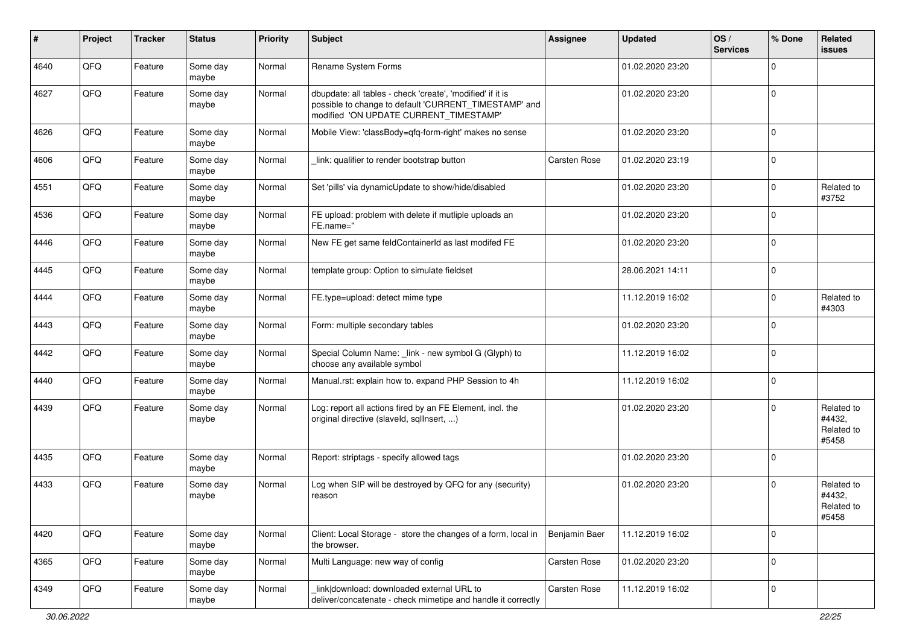| ∦    | Project | <b>Tracker</b> | <b>Status</b>     | <b>Priority</b> | <b>Subject</b>                                                                                                                                                | <b>Assignee</b>     | <b>Updated</b>   | OS/<br><b>Services</b> | % Done      | Related<br><b>issues</b>                    |
|------|---------|----------------|-------------------|-----------------|---------------------------------------------------------------------------------------------------------------------------------------------------------------|---------------------|------------------|------------------------|-------------|---------------------------------------------|
| 4640 | QFQ     | Feature        | Some day<br>maybe | Normal          | Rename System Forms                                                                                                                                           |                     | 01.02.2020 23:20 |                        | $\mathbf 0$ |                                             |
| 4627 | QFQ     | Feature        | Some day<br>maybe | Normal          | dbupdate: all tables - check 'create', 'modified' if it is<br>possible to change to default 'CURRENT_TIMESTAMP' and<br>modified 'ON UPDATE CURRENT_TIMESTAMP' |                     | 01.02.2020 23:20 |                        | $\mathbf 0$ |                                             |
| 4626 | QFQ     | Feature        | Some day<br>maybe | Normal          | Mobile View: 'classBody=qfq-form-right' makes no sense                                                                                                        |                     | 01.02.2020 23:20 |                        | $\mathbf 0$ |                                             |
| 4606 | QFQ     | Feature        | Some day<br>maybe | Normal          | link: qualifier to render bootstrap button                                                                                                                    | <b>Carsten Rose</b> | 01.02.2020 23:19 |                        | $\mathbf 0$ |                                             |
| 4551 | QFQ     | Feature        | Some day<br>maybe | Normal          | Set 'pills' via dynamicUpdate to show/hide/disabled                                                                                                           |                     | 01.02.2020 23:20 |                        | $\Omega$    | Related to<br>#3752                         |
| 4536 | QFQ     | Feature        | Some day<br>maybe | Normal          | FE upload: problem with delete if mutliple uploads an<br>FE.name="                                                                                            |                     | 01.02.2020 23:20 |                        | $\Omega$    |                                             |
| 4446 | QFQ     | Feature        | Some day<br>maybe | Normal          | New FE get same feldContainerId as last modifed FE                                                                                                            |                     | 01.02.2020 23:20 |                        | $\Omega$    |                                             |
| 4445 | QFQ     | Feature        | Some day<br>maybe | Normal          | template group: Option to simulate fieldset                                                                                                                   |                     | 28.06.2021 14:11 |                        | $\mathbf 0$ |                                             |
| 4444 | QFQ     | Feature        | Some day<br>maybe | Normal          | FE.type=upload: detect mime type                                                                                                                              |                     | 11.12.2019 16:02 |                        | $\Omega$    | Related to<br>#4303                         |
| 4443 | QFQ     | Feature        | Some day<br>maybe | Normal          | Form: multiple secondary tables                                                                                                                               |                     | 01.02.2020 23:20 |                        | $\mathbf 0$ |                                             |
| 4442 | QFQ     | Feature        | Some day<br>maybe | Normal          | Special Column Name: _link - new symbol G (Glyph) to<br>choose any available symbol                                                                           |                     | 11.12.2019 16:02 |                        | $\Omega$    |                                             |
| 4440 | QFQ     | Feature        | Some day<br>maybe | Normal          | Manual.rst: explain how to. expand PHP Session to 4h                                                                                                          |                     | 11.12.2019 16:02 |                        | $\mathbf 0$ |                                             |
| 4439 | QFQ     | Feature        | Some day<br>maybe | Normal          | Log: report all actions fired by an FE Element, incl. the<br>original directive (slaveld, sqllnsert, )                                                        |                     | 01.02.2020 23:20 |                        | $\Omega$    | Related to<br>#4432,<br>Related to<br>#5458 |
| 4435 | QFQ     | Feature        | Some day<br>maybe | Normal          | Report: striptags - specify allowed tags                                                                                                                      |                     | 01.02.2020 23:20 |                        | $\Omega$    |                                             |
| 4433 | QFQ     | Feature        | Some day<br>maybe | Normal          | Log when SIP will be destroyed by QFQ for any (security)<br>reason                                                                                            |                     | 01.02.2020 23:20 |                        | $\Omega$    | Related to<br>#4432,<br>Related to<br>#5458 |
| 4420 | QFG     | Feature        | Some day<br>maybe | Normal          | Client: Local Storage - store the changes of a form, local in<br>the browser.                                                                                 | Benjamin Baer       | 11.12.2019 16:02 |                        | $\mathbf 0$ |                                             |
| 4365 | QFQ     | Feature        | Some day<br>maybe | Normal          | Multi Language: new way of config                                                                                                                             | Carsten Rose        | 01.02.2020 23:20 |                        | $\mathbf 0$ |                                             |
| 4349 | QFQ     | Feature        | Some day<br>maybe | Normal          | link download: downloaded external URL to<br>deliver/concatenate - check mimetipe and handle it correctly                                                     | Carsten Rose        | 11.12.2019 16:02 |                        | 0           |                                             |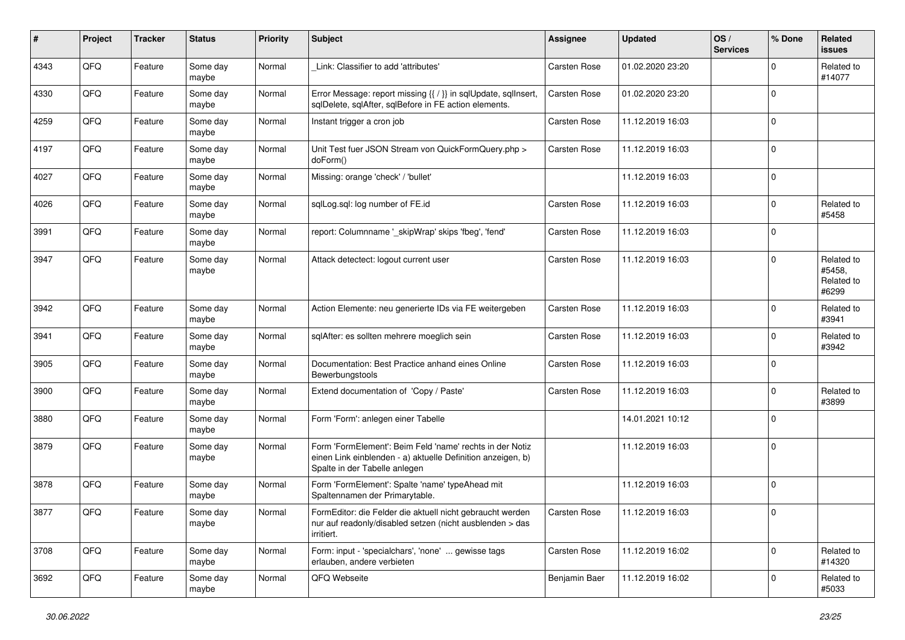| #    | Project | <b>Tracker</b> | <b>Status</b>     | <b>Priority</b> | Subject                                                                                                                                                  | <b>Assignee</b> | <b>Updated</b>   | OS/<br><b>Services</b> | % Done      | Related<br><b>issues</b>                    |
|------|---------|----------------|-------------------|-----------------|----------------------------------------------------------------------------------------------------------------------------------------------------------|-----------------|------------------|------------------------|-------------|---------------------------------------------|
| 4343 | QFQ     | Feature        | Some day<br>maybe | Normal          | Link: Classifier to add 'attributes'                                                                                                                     | Carsten Rose    | 01.02.2020 23:20 |                        | $\Omega$    | Related to<br>#14077                        |
| 4330 | QFQ     | Feature        | Some day<br>maybe | Normal          | Error Message: report missing {{ / }} in sqlUpdate, sqlInsert,<br>sqlDelete, sqlAfter, sqlBefore in FE action elements.                                  | Carsten Rose    | 01.02.2020 23:20 |                        | $\Omega$    |                                             |
| 4259 | QFQ     | Feature        | Some day<br>maybe | Normal          | Instant trigger a cron job                                                                                                                               | Carsten Rose    | 11.12.2019 16:03 |                        | $\Omega$    |                                             |
| 4197 | QFQ     | Feature        | Some day<br>maybe | Normal          | Unit Test fuer JSON Stream von QuickFormQuery.php ><br>doForm()                                                                                          | Carsten Rose    | 11.12.2019 16:03 |                        | $\mathbf 0$ |                                             |
| 4027 | QFQ     | Feature        | Some day<br>maybe | Normal          | Missing: orange 'check' / 'bullet'                                                                                                                       |                 | 11.12.2019 16:03 |                        | $\mathbf 0$ |                                             |
| 4026 | QFQ     | Feature        | Some day<br>maybe | Normal          | sqlLog.sql: log number of FE.id                                                                                                                          | Carsten Rose    | 11.12.2019 16:03 |                        | $\Omega$    | Related to<br>#5458                         |
| 3991 | QFQ     | Feature        | Some day<br>maybe | Normal          | report: Columnname '_skipWrap' skips 'fbeg', 'fend'                                                                                                      | Carsten Rose    | 11.12.2019 16:03 |                        | $\mathbf 0$ |                                             |
| 3947 | QFQ     | Feature        | Some day<br>maybe | Normal          | Attack detectect: logout current user                                                                                                                    | Carsten Rose    | 11.12.2019 16:03 |                        | $\mathbf 0$ | Related to<br>#5458,<br>Related to<br>#6299 |
| 3942 | QFQ     | Feature        | Some day<br>maybe | Normal          | Action Elemente: neu generierte IDs via FE weitergeben                                                                                                   | Carsten Rose    | 11.12.2019 16:03 |                        | $\Omega$    | Related to<br>#3941                         |
| 3941 | QFQ     | Feature        | Some day<br>maybe | Normal          | sqlAfter: es sollten mehrere moeglich sein                                                                                                               | Carsten Rose    | 11.12.2019 16:03 |                        | $\mathbf 0$ | Related to<br>#3942                         |
| 3905 | QFQ     | Feature        | Some day<br>maybe | Normal          | Documentation: Best Practice anhand eines Online<br>Bewerbungstools                                                                                      | Carsten Rose    | 11.12.2019 16:03 |                        | $\Omega$    |                                             |
| 3900 | QFQ     | Feature        | Some day<br>maybe | Normal          | Extend documentation of 'Copy / Paste'                                                                                                                   | Carsten Rose    | 11.12.2019 16:03 |                        | $\Omega$    | Related to<br>#3899                         |
| 3880 | QFQ     | Feature        | Some day<br>maybe | Normal          | Form 'Form': anlegen einer Tabelle                                                                                                                       |                 | 14.01.2021 10:12 |                        | $\Omega$    |                                             |
| 3879 | QFQ     | Feature        | Some day<br>maybe | Normal          | Form 'FormElement': Beim Feld 'name' rechts in der Notiz<br>einen Link einblenden - a) aktuelle Definition anzeigen, b)<br>Spalte in der Tabelle anlegen |                 | 11.12.2019 16:03 |                        | $\mathbf 0$ |                                             |
| 3878 | QFQ     | Feature        | Some day<br>maybe | Normal          | Form 'FormElement': Spalte 'name' typeAhead mit<br>Spaltennamen der Primarytable.                                                                        |                 | 11.12.2019 16:03 |                        | $\Omega$    |                                             |
| 3877 | QFG     | Feature        | Some day<br>maybe | Normal          | FormEditor: die Felder die aktuell nicht gebraucht werden<br>nur auf readonly/disabled setzen (nicht ausblenden > das<br>irritiert.                      | Carsten Rose    | 11.12.2019 16:03 |                        | $\mathbf 0$ |                                             |
| 3708 | QFQ     | Feature        | Some day<br>maybe | Normal          | Form: input - 'specialchars', 'none'  gewisse tags<br>erlauben, andere verbieten                                                                         | Carsten Rose    | 11.12.2019 16:02 |                        | 0           | Related to<br>#14320                        |
| 3692 | QFQ     | Feature        | Some day<br>maybe | Normal          | QFQ Webseite                                                                                                                                             | Benjamin Baer   | 11.12.2019 16:02 |                        | 0           | Related to<br>#5033                         |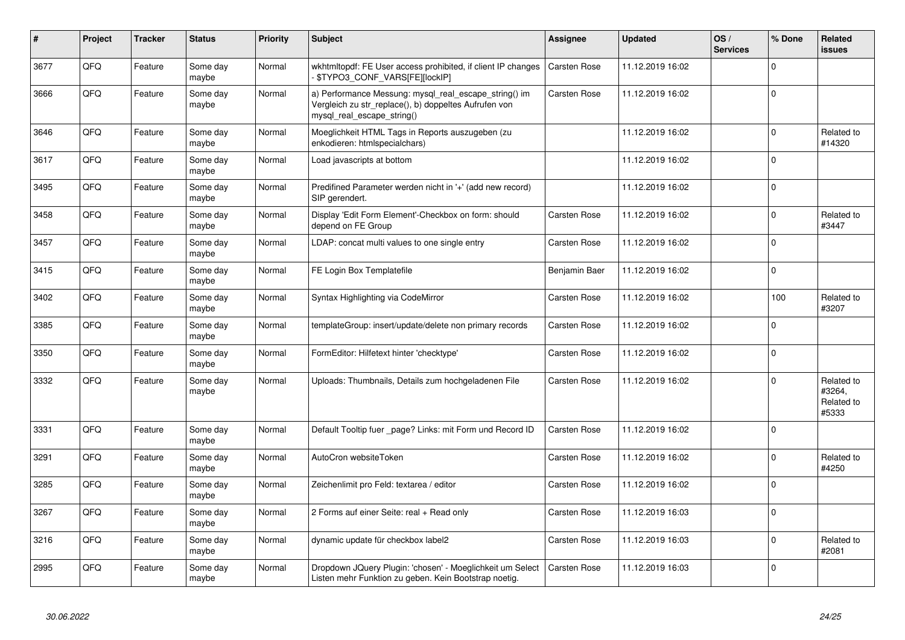| #    | Project | <b>Tracker</b> | <b>Status</b>     | <b>Priority</b> | <b>Subject</b>                                                                                                                               | Assignee            | Updated          | OS/<br><b>Services</b> | % Done   | Related<br>issues                           |
|------|---------|----------------|-------------------|-----------------|----------------------------------------------------------------------------------------------------------------------------------------------|---------------------|------------------|------------------------|----------|---------------------------------------------|
| 3677 | QFQ     | Feature        | Some day<br>maybe | Normal          | wkhtmitopdf: FE User access prohibited, if client IP changes<br>\$TYPO3_CONF_VARS[FE][lockIP]                                                | <b>Carsten Rose</b> | 11.12.2019 16:02 |                        | $\Omega$ |                                             |
| 3666 | QFQ     | Feature        | Some day<br>maybe | Normal          | a) Performance Messung: mysql_real_escape_string() im<br>Vergleich zu str replace(), b) doppeltes Aufrufen von<br>mysql_real_escape_string() | Carsten Rose        | 11.12.2019 16:02 |                        | $\Omega$ |                                             |
| 3646 | QFQ     | Feature        | Some day<br>maybe | Normal          | Moeglichkeit HTML Tags in Reports auszugeben (zu<br>enkodieren: htmlspecialchars)                                                            |                     | 11.12.2019 16:02 |                        | $\Omega$ | Related to<br>#14320                        |
| 3617 | QFQ     | Feature        | Some day<br>maybe | Normal          | Load javascripts at bottom                                                                                                                   |                     | 11.12.2019 16:02 |                        | $\Omega$ |                                             |
| 3495 | QFQ     | Feature        | Some day<br>maybe | Normal          | Predifined Parameter werden nicht in '+' (add new record)<br>SIP gerendert.                                                                  |                     | 11.12.2019 16:02 |                        | $\Omega$ |                                             |
| 3458 | QFQ     | Feature        | Some day<br>maybe | Normal          | Display 'Edit Form Element'-Checkbox on form: should<br>depend on FE Group                                                                   | Carsten Rose        | 11.12.2019 16:02 |                        | $\Omega$ | Related to<br>#3447                         |
| 3457 | QFQ     | Feature        | Some day<br>maybe | Normal          | LDAP: concat multi values to one single entry                                                                                                | Carsten Rose        | 11.12.2019 16:02 |                        | $\Omega$ |                                             |
| 3415 | QFQ     | Feature        | Some day<br>maybe | Normal          | FE Login Box Templatefile                                                                                                                    | Benjamin Baer       | 11.12.2019 16:02 |                        | $\Omega$ |                                             |
| 3402 | QFQ     | Feature        | Some day<br>maybe | Normal          | Syntax Highlighting via CodeMirror                                                                                                           | <b>Carsten Rose</b> | 11.12.2019 16:02 |                        | 100      | Related to<br>#3207                         |
| 3385 | QFQ     | Feature        | Some day<br>maybe | Normal          | templateGroup: insert/update/delete non primary records                                                                                      | <b>Carsten Rose</b> | 11.12.2019 16:02 |                        | $\Omega$ |                                             |
| 3350 | QFQ     | Feature        | Some day<br>maybe | Normal          | FormEditor: Hilfetext hinter 'checktype'                                                                                                     | Carsten Rose        | 11.12.2019 16:02 |                        | $\Omega$ |                                             |
| 3332 | QFQ     | Feature        | Some day<br>maybe | Normal          | Uploads: Thumbnails, Details zum hochgeladenen File                                                                                          | Carsten Rose        | 11.12.2019 16:02 |                        | $\Omega$ | Related to<br>#3264,<br>Related to<br>#5333 |
| 3331 | QFQ     | Feature        | Some day<br>maybe | Normal          | Default Tooltip fuer page? Links: mit Form und Record ID                                                                                     | <b>Carsten Rose</b> | 11.12.2019 16:02 |                        | $\Omega$ |                                             |
| 3291 | QFQ     | Feature        | Some day<br>maybe | Normal          | AutoCron websiteToken                                                                                                                        | Carsten Rose        | 11.12.2019 16:02 |                        | $\Omega$ | Related to<br>#4250                         |
| 3285 | QFQ     | Feature        | Some day<br>maybe | Normal          | Zeichenlimit pro Feld: textarea / editor                                                                                                     | Carsten Rose        | 11.12.2019 16:02 |                        | $\Omega$ |                                             |
| 3267 | QFQ     | Feature        | Some day<br>maybe | Normal          | 2 Forms auf einer Seite: real + Read only                                                                                                    | Carsten Rose        | 11.12.2019 16:03 |                        | $\Omega$ |                                             |
| 3216 | QFQ     | Feature        | Some day<br>maybe | Normal          | dynamic update für checkbox label2                                                                                                           | Carsten Rose        | 11.12.2019 16:03 |                        | $\Omega$ | Related to<br>#2081                         |
| 2995 | QFQ     | Feature        | Some day<br>maybe | Normal          | Dropdown JQuery Plugin: 'chosen' - Moeglichkeit um Select<br>Listen mehr Funktion zu geben. Kein Bootstrap noetig.                           | <b>Carsten Rose</b> | 11.12.2019 16:03 |                        | $\Omega$ |                                             |